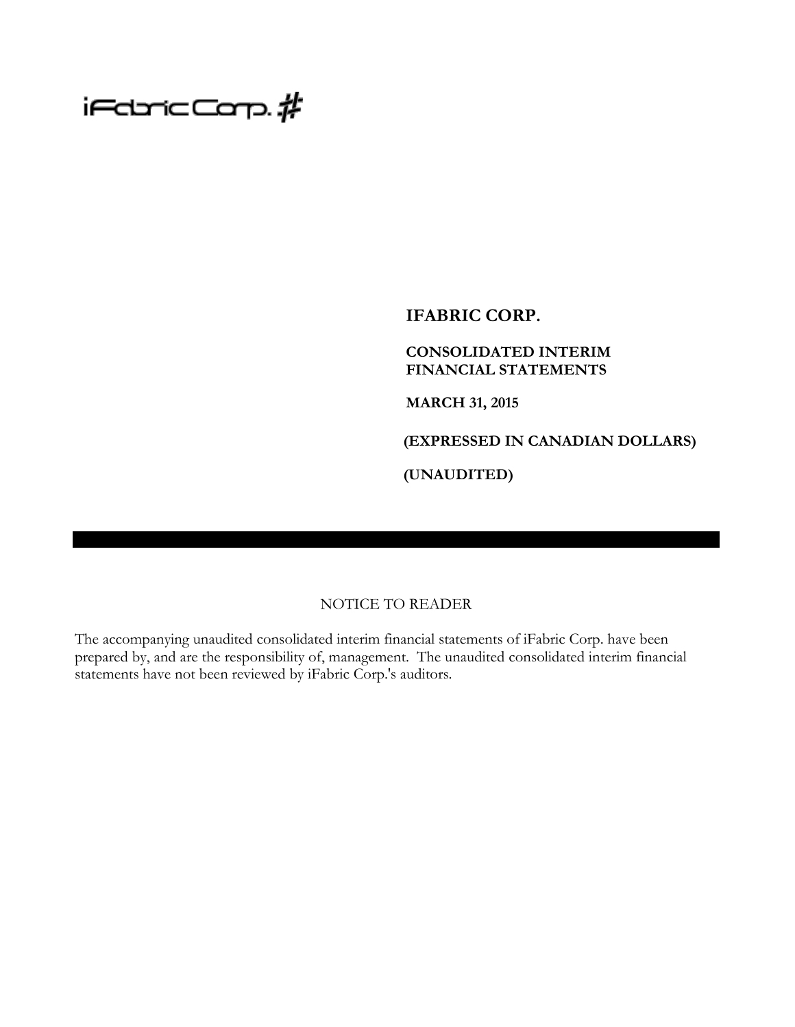# $i$ FdricCarp. $\rlap{/}$ #

# **IFABRIC CORP.**

# **CONSOLIDATED INTERIM FINANCIAL STATEMENTS**

**MARCH 31, 2015**

**(EXPRESSED IN CANADIAN DOLLARS)**

**(UNAUDITED)**

# NOTICE TO READER

The accompanying unaudited consolidated interim financial statements of iFabric Corp. have been prepared by, and are the responsibility of, management. The unaudited consolidated interim financial statements have not been reviewed by iFabric Corp.'s auditors.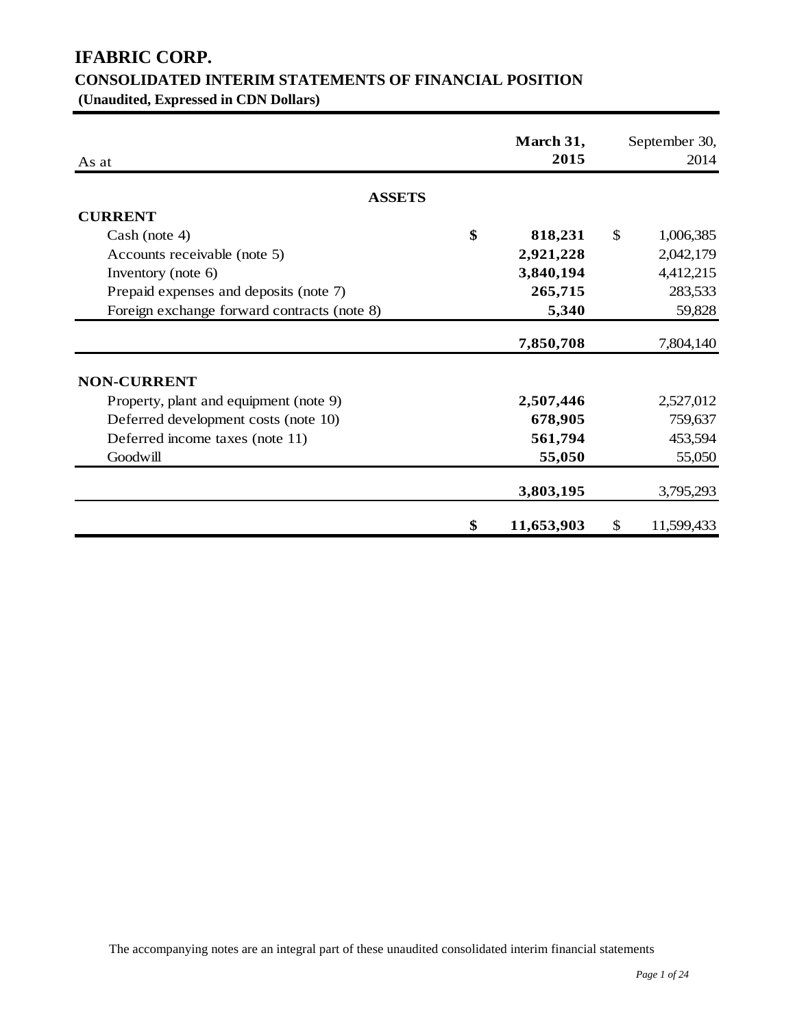# **IFABRIC CORP. CONSOLIDATED INTERIM STATEMENTS OF FINANCIAL POSITION**

**(Unaudited, Expressed in CDN Dollars)**

| As at                                       | March 31,<br>2015 |              | September 30,<br>2014 |
|---------------------------------------------|-------------------|--------------|-----------------------|
| <b>ASSETS</b>                               |                   |              |                       |
| <b>CURRENT</b>                              |                   |              |                       |
| Cash (note 4)                               | \$<br>818,231     | $\mathbb{S}$ | 1,006,385             |
| Accounts receivable (note 5)                | 2,921,228         |              | 2,042,179             |
| Inventory (note 6)                          | 3,840,194         |              | 4,412,215             |
| Prepaid expenses and deposits (note 7)      | 265,715           |              | 283,533               |
| Foreign exchange forward contracts (note 8) | 5,340             |              | 59,828                |
|                                             | 7,850,708         |              | 7,804,140             |
| <b>NON-CURRENT</b>                          |                   |              |                       |
| Property, plant and equipment (note 9)      | 2,507,446         |              | 2,527,012             |
| Deferred development costs (note 10)        | 678,905           |              | 759,637               |
| Deferred income taxes (note 11)             | 561,794           |              | 453,594               |
| Goodwill                                    | 55,050            |              | 55,050                |
|                                             | 3,803,195         |              | 3,795,293             |
|                                             | \$<br>11,653,903  | \$           | 11,599,433            |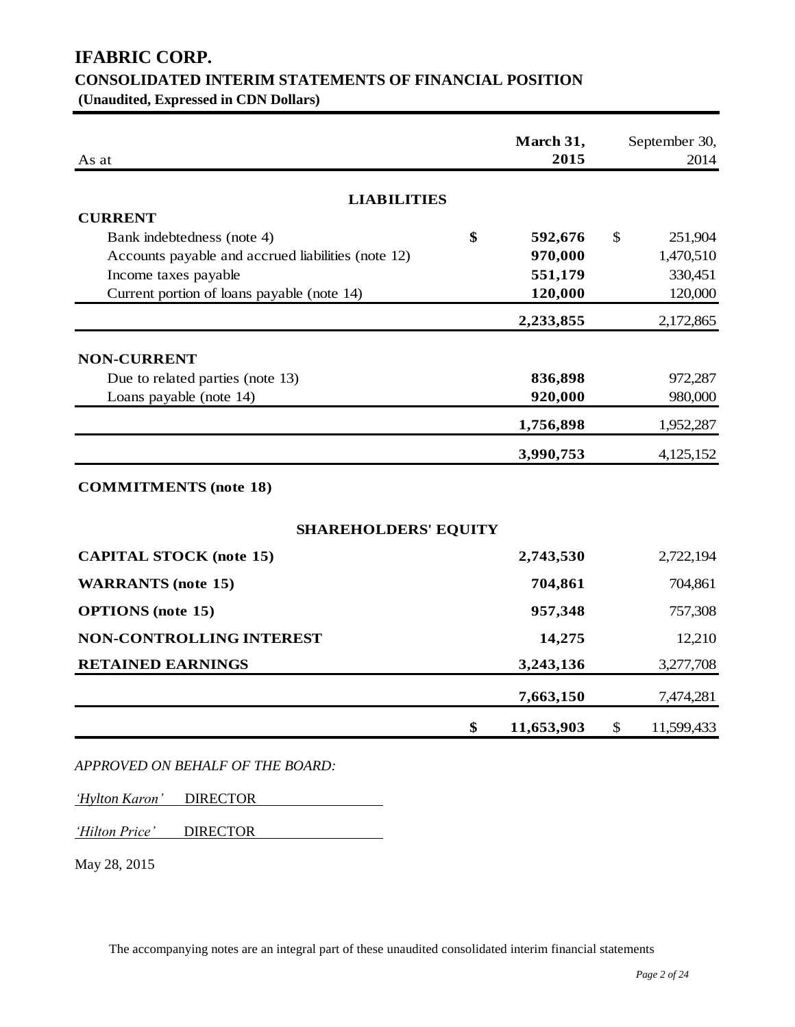# **IFABRIC CORP. CONSOLIDATED INTERIM STATEMENTS OF FINANCIAL POSITION**

**(Unaudited, Expressed in CDN Dollars)**

| As at                                              | March 31,<br>2015 | September 30,<br>2014   |
|----------------------------------------------------|-------------------|-------------------------|
| <b>LIABILITIES</b>                                 |                   |                         |
| <b>CURRENT</b>                                     |                   |                         |
| \$<br>Bank indebtedness (note 4)                   | 592,676           | 251,904<br>$\mathbb{S}$ |
| Accounts payable and accrued liabilities (note 12) | 970,000           | 1,470,510               |
| Income taxes payable                               | 551,179           | 330,451                 |
| Current portion of loans payable (note 14)         | 120,000           | 120,000                 |
|                                                    | 2,233,855         | 2,172,865               |
| <b>NON-CURRENT</b>                                 |                   |                         |
| Due to related parties (note 13)                   | 836,898           | 972,287                 |
| Loans payable (note 14)                            | 920,000           | 980,000                 |
|                                                    | 1,756,898         | 1,952,287               |
|                                                    | 3,990,753         | 4,125,152               |
| <b>COMMITMENTS</b> (note 18)                       |                   |                         |
| <b>SHAREHOLDERS' EQUITY</b>                        |                   |                         |
| <b>CAPITAL STOCK (note 15)</b>                     | 2,743,530         | 2,722,194               |
| <b>WARRANTS</b> (note 15)                          | 704,861           | 704,861                 |
| <b>OPTIONS</b> (note 15)                           | 957,348           | 757,308                 |
| <b>NON-CONTROLLING INTEREST</b>                    | 14,275            | 12,210                  |
| <b>RETAINED EARNINGS</b>                           | 3,243,136         | 3,277,708               |
|                                                    | 7,663,150         | 7,474,281               |
| \$                                                 | 11,653,903        | \$<br>11,599,433        |

*APPROVED ON BEHALF OF THE BOARD:*

*'Hylton Karon'* DIRECTOR

*'Hilton Price'* DIRECTOR

May 28, 2015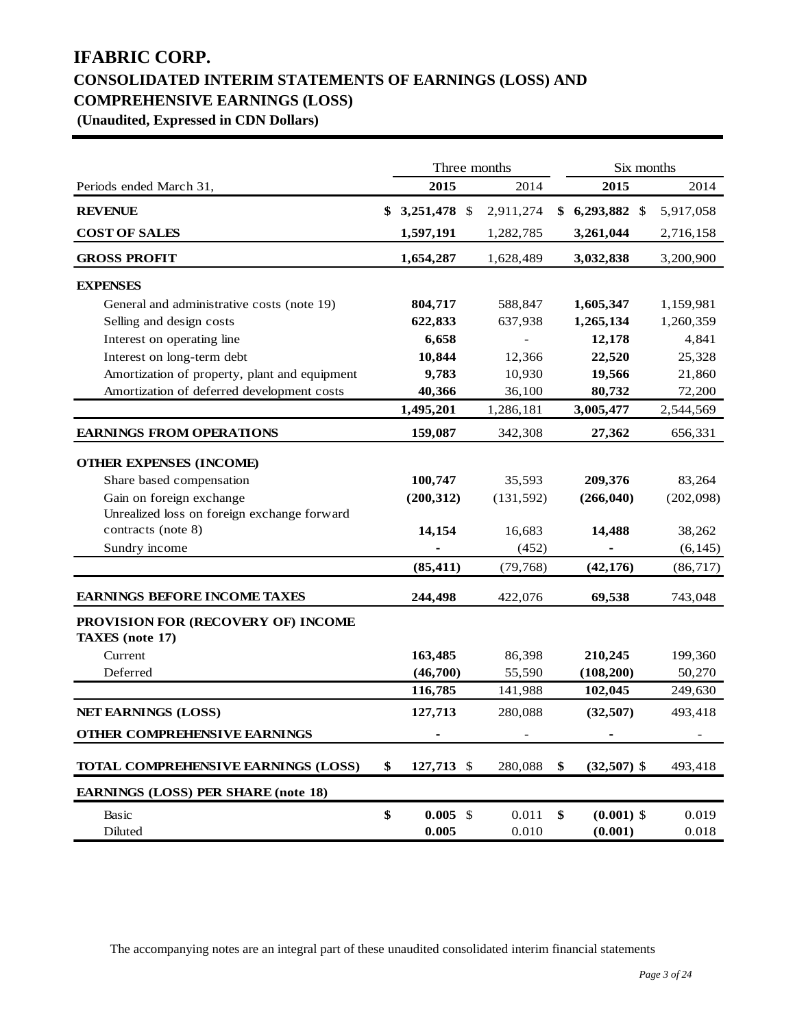# **IFABRIC CORP. CONSOLIDATED INTERIM STATEMENTS OF EARNINGS (LOSS) AND COMPREHENSIVE EARNINGS (LOSS)**

**(Unaudited, Expressed in CDN Dollars)**

|                                                              | Three months |             |  |            | Six months          |           |  |
|--------------------------------------------------------------|--------------|-------------|--|------------|---------------------|-----------|--|
| Periods ended March 31,                                      |              | 2015        |  | 2014       | 2015                | 2014      |  |
| <b>REVENUE</b>                                               |              | \$3,251,478 |  | 2,911,274  | $$6,293,882$ \$     | 5,917,058 |  |
| <b>COST OF SALES</b>                                         |              | 1,597,191   |  | 1,282,785  | 3,261,044           | 2,716,158 |  |
| <b>GROSS PROFIT</b>                                          |              | 1,654,287   |  | 1,628,489  | 3,032,838           | 3,200,900 |  |
| <b>EXPENSES</b>                                              |              |             |  |            |                     |           |  |
| General and administrative costs (note 19)                   |              | 804,717     |  | 588,847    | 1,605,347           | 1,159,981 |  |
| Selling and design costs                                     |              | 622,833     |  | 637,938    | 1,265,134           | 1,260,359 |  |
| Interest on operating line                                   |              | 6,658       |  |            | 12,178              | 4,841     |  |
| Interest on long-term debt                                   |              | 10,844      |  | 12,366     | 22,520              | 25,328    |  |
| Amortization of property, plant and equipment                |              | 9,783       |  | 10,930     | 19,566              | 21,860    |  |
| Amortization of deferred development costs                   |              | 40,366      |  | 36,100     | 80,732              | 72,200    |  |
|                                                              |              | 1,495,201   |  | 1,286,181  | 3,005,477           | 2,544,569 |  |
| <b>EARNINGS FROM OPERATIONS</b>                              |              | 159,087     |  | 342,308    | 27,362              | 656,331   |  |
| <b>OTHER EXPENSES (INCOME)</b>                               |              |             |  |            |                     |           |  |
| Share based compensation                                     |              | 100,747     |  | 35,593     | 209,376             | 83,264    |  |
| Gain on foreign exchange                                     |              | (200, 312)  |  | (131, 592) | (266, 040)          | (202,098) |  |
| Unrealized loss on foreign exchange forward                  |              |             |  |            |                     |           |  |
| contracts (note 8)                                           |              | 14,154      |  | 16,683     | 14,488              | 38,262    |  |
| Sundry income                                                |              |             |  | (452)      |                     | (6, 145)  |  |
|                                                              |              | (85, 411)   |  | (79, 768)  | (42, 176)           | (86, 717) |  |
| <b>EARNINGS BEFORE INCOME TAXES</b>                          |              | 244,498     |  | 422,076    | 69,538              | 743,048   |  |
| PROVISION FOR (RECOVERY OF) INCOME<br><b>TAXES</b> (note 17) |              |             |  |            |                     |           |  |
| Current                                                      |              | 163,485     |  | 86,398     | 210,245             | 199,360   |  |
| Deferred                                                     |              | (46,700)    |  | 55,590     | (108, 200)          | 50,270    |  |
|                                                              |              | 116,785     |  | 141,988    | 102,045             | 249,630   |  |
| NET EARNINGS (LOSS)                                          |              | 127,713     |  | 280,088    | (32, 507)           | 493,418   |  |
| OTHER COMPREHENSIVE EARNINGS                                 |              |             |  |            |                     |           |  |
| TOTAL COMPREHENSIVE EARNINGS (LOSS)                          | \$           | 127,713 \$  |  | 280,088    | \$<br>$(32,507)$ \$ | 493,418   |  |
| <b>EARNINGS (LOSS) PER SHARE (note 18)</b>                   |              |             |  |            |                     |           |  |
| Basic                                                        | \$           | $0.005$ \$  |  | 0.011      | \$<br>$(0.001)$ \$  | 0.019     |  |
| Diluted                                                      |              | 0.005       |  | 0.010      | (0.001)             | $0.018\,$ |  |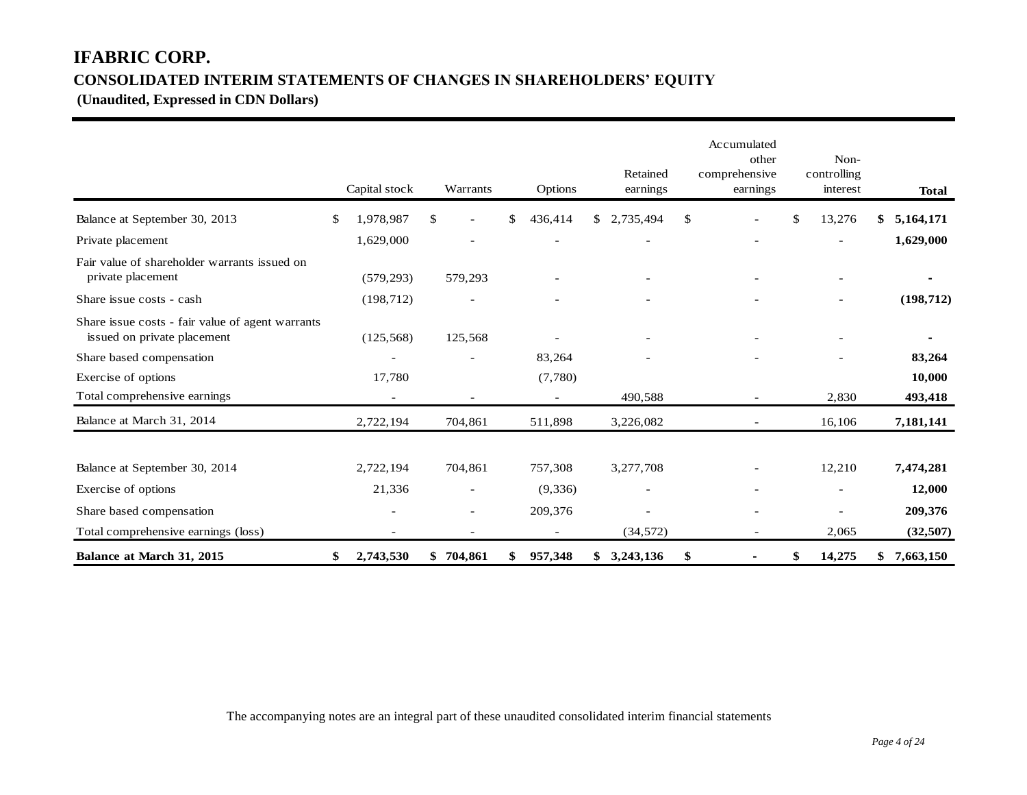# **IFABRIC CORP. CONSOLIDATED INTERIM STATEMENTS OF CHANGES IN SHAREHOLDERS' EQUITY**

**(Unaudited, Expressed in CDN Dollars)** 

|                                                                                 | Capital stock            | Warrants                 | Options       | Retained<br>earnings | Accumulated<br>other<br>comprehensive<br>earnings | Non-<br>controlling<br>interest | <b>Total</b>    |
|---------------------------------------------------------------------------------|--------------------------|--------------------------|---------------|----------------------|---------------------------------------------------|---------------------------------|-----------------|
| Balance at September 30, 2013                                                   | \$<br>1,978,987          | \$<br>÷                  | \$<br>436,414 | \$2,735,494          | \$                                                | \$<br>13,276                    | \$5,164,171     |
| Private placement                                                               | 1,629,000                |                          |               |                      |                                                   |                                 | 1,629,000       |
| Fair value of shareholder warrants issued on<br>private placement               | (579, 293)               | 579,293                  |               |                      |                                                   |                                 |                 |
| Share issue costs - cash                                                        | (198, 712)               |                          |               |                      |                                                   |                                 | (198, 712)      |
| Share issue costs - fair value of agent warrants<br>issued on private placement | (125, 568)               | 125,568                  |               |                      |                                                   |                                 |                 |
| Share based compensation                                                        |                          |                          | 83,264        |                      |                                                   |                                 | 83,264          |
| Exercise of options                                                             | 17,780                   |                          | (7,780)       |                      |                                                   |                                 | 10,000          |
| Total comprehensive earnings                                                    |                          |                          |               | 490,588              |                                                   | 2,830                           | 493,418         |
| Balance at March 31, 2014                                                       | 2,722,194                | 704,861                  | 511,898       | 3,226,082            | $\overline{\phantom{a}}$                          | 16,106                          | 7,181,141       |
| Balance at September 30, 2014                                                   | 2,722,194                | 704,861                  | 757,308       | 3,277,708            |                                                   | 12,210                          | 7,474,281       |
| Exercise of options                                                             | 21,336                   | $\overline{\phantom{0}}$ | (9, 336)      |                      | $\overline{\phantom{0}}$                          | $\overline{\phantom{0}}$        | 12,000          |
| Share based compensation                                                        | $\overline{\phantom{a}}$ | $\overline{\phantom{0}}$ | 209,376       |                      | $\overline{\phantom{0}}$                          |                                 | 209,376         |
| Total comprehensive earnings (loss)                                             |                          |                          |               | (34, 572)            |                                                   | 2,065                           | (32, 507)       |
| Balance at March 31, 2015                                                       | \$<br>2,743,530          | \$704,861                | \$<br>957,348 | \$3,243,136          | \$                                                | \$<br>14,275                    | \$<br>7,663,150 |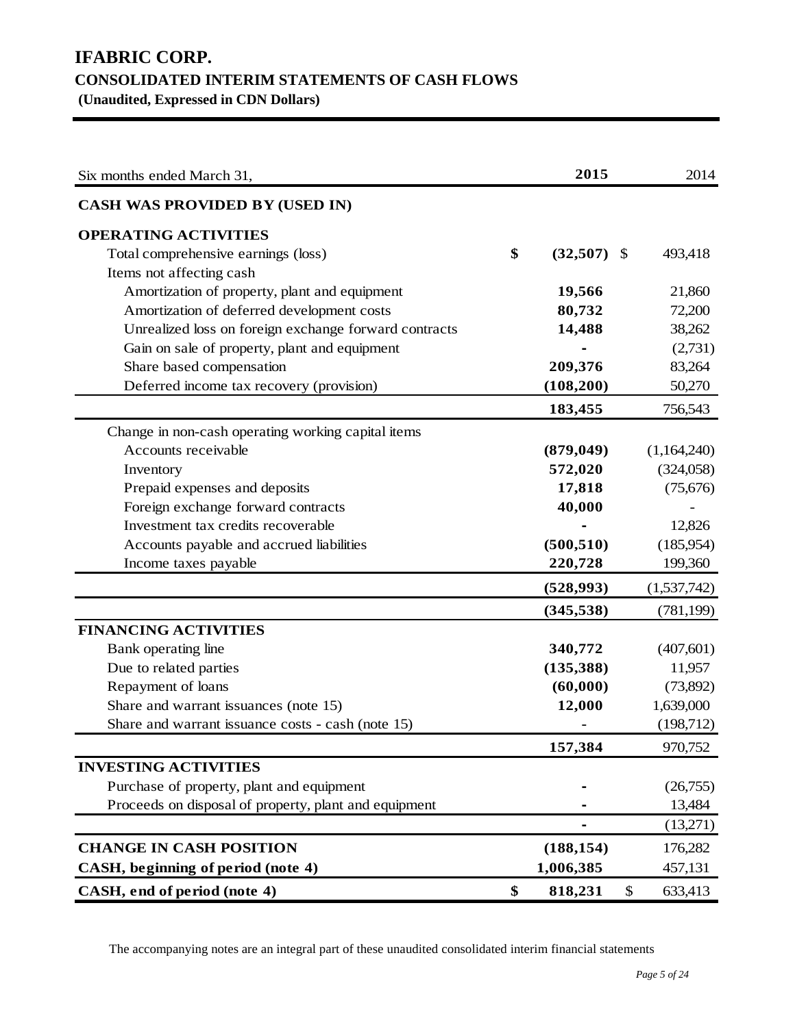# **IFABRIC CORP. CONSOLIDATED INTERIM STATEMENTS OF CASH FLOWS**

**(Unaudited, Expressed in CDN Dollars)** 

| Six months ended March 31,                            | 2015                   |      | 2014        |
|-------------------------------------------------------|------------------------|------|-------------|
| <b>CASH WAS PROVIDED BY (USED IN)</b>                 |                        |      |             |
| <b>OPERATING ACTIVITIES</b>                           |                        |      |             |
| Total comprehensive earnings (loss)                   | \$<br>(32,507)<br>- \$ |      | 493,418     |
| Items not affecting cash                              |                        |      |             |
| Amortization of property, plant and equipment         | 19,566                 |      | 21,860      |
| Amortization of deferred development costs            | 80,732                 |      | 72,200      |
| Unrealized loss on foreign exchange forward contracts | 14,488                 |      | 38,262      |
| Gain on sale of property, plant and equipment         |                        |      | (2,731)     |
| Share based compensation                              | 209,376                |      | 83,264      |
| Deferred income tax recovery (provision)              | (108, 200)             |      | 50,270      |
|                                                       | 183,455                |      | 756,543     |
| Change in non-cash operating working capital items    |                        |      |             |
| Accounts receivable                                   | (879, 049)             |      | (1,164,240) |
| Inventory                                             | 572,020                |      | (324,058)   |
| Prepaid expenses and deposits                         | 17,818                 |      | (75,676)    |
| Foreign exchange forward contracts                    | 40,000                 |      |             |
| Investment tax credits recoverable                    |                        |      | 12,826      |
| Accounts payable and accrued liabilities              | (500, 510)             |      | (185,954)   |
| Income taxes payable                                  | 220,728                |      | 199,360     |
|                                                       | (528, 993)             |      | (1,537,742) |
|                                                       | (345, 538)             |      | (781, 199)  |
| <b>FINANCING ACTIVITIES</b>                           |                        |      |             |
| Bank operating line                                   | 340,772                |      | (407,601)   |
| Due to related parties                                | (135, 388)             |      | 11,957      |
| Repayment of loans                                    | (60,000)               |      | (73,892)    |
| Share and warrant issuances (note 15)                 | 12,000                 |      | 1,639,000   |
| Share and warrant issuance costs - cash (note 15)     |                        |      | (198, 712)  |
|                                                       | 157,384                |      | 970,752     |
| <b>INVESTING ACTIVITIES</b>                           |                        |      |             |
| Purchase of property, plant and equipment             |                        |      | (26,755)    |
| Proceeds on disposal of property, plant and equipment |                        |      | 13,484      |
|                                                       | -                      |      | (13,271)    |
| <b>CHANGE IN CASH POSITION</b>                        | (188, 154)             |      | 176,282     |
| CASH, beginning of period (note 4)                    | 1,006,385              |      | 457,131     |
| CASH, end of period (note 4)                          | \$<br>818,231          | $\$$ | 633,413     |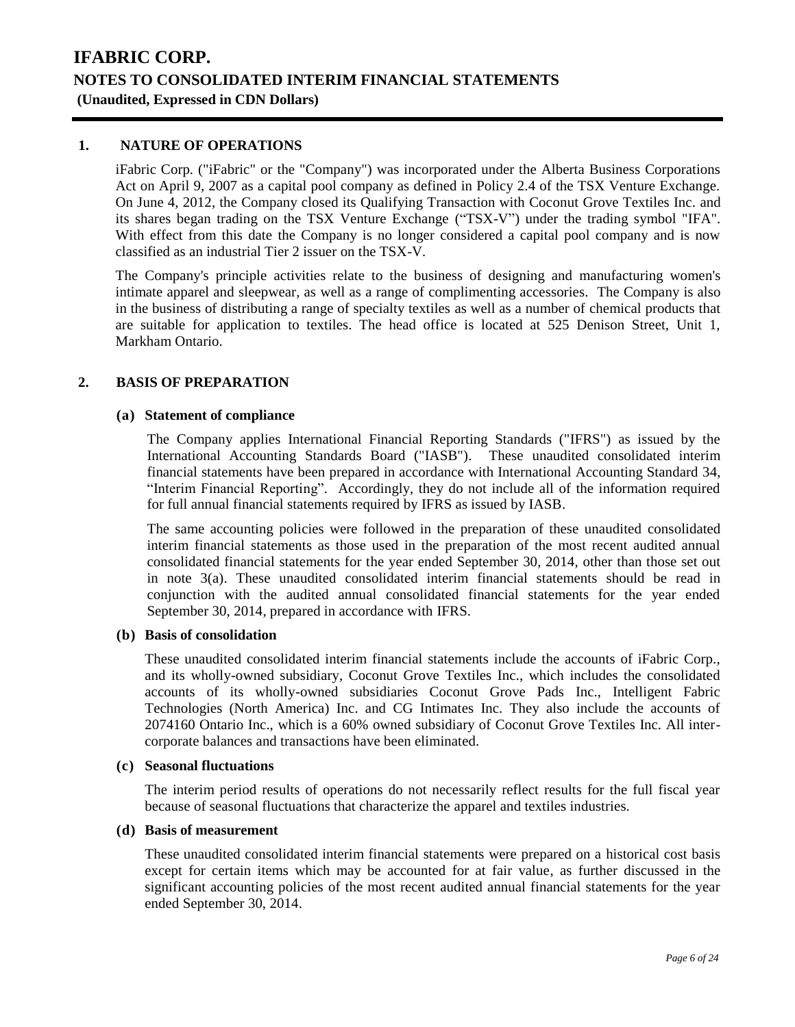### **1. NATURE OF OPERATIONS**

iFabric Corp. ("iFabric" or the "Company") was incorporated under the Alberta Business Corporations Act on April 9, 2007 as a capital pool company as defined in Policy 2.4 of the TSX Venture Exchange. On June 4, 2012, the Company closed its Qualifying Transaction with Coconut Grove Textiles Inc. and its shares began trading on the TSX Venture Exchange ("TSX-V") under the trading symbol "IFA". With effect from this date the Company is no longer considered a capital pool company and is now classified as an industrial Tier 2 issuer on the TSX-V.

The Company's principle activities relate to the business of designing and manufacturing women's intimate apparel and sleepwear, as well as a range of complimenting accessories. The Company is also in the business of distributing a range of specialty textiles as well as a number of chemical products that are suitable for application to textiles. The head office is located at 525 Denison Street, Unit 1, Markham Ontario.

### **2. BASIS OF PREPARATION**

### **(a) Statement of compliance**

The Company applies International Financial Reporting Standards ("IFRS") as issued by the International Accounting Standards Board ("IASB"). These unaudited consolidated interim financial statements have been prepared in accordance with International Accounting Standard 34, "Interim Financial Reporting". Accordingly, they do not include all of the information required for full annual financial statements required by IFRS as issued by IASB.

The same accounting policies were followed in the preparation of these unaudited consolidated interim financial statements as those used in the preparation of the most recent audited annual consolidated financial statements for the year ended September 30, 2014, other than those set out in note 3(a). These unaudited consolidated interim financial statements should be read in conjunction with the audited annual consolidated financial statements for the year ended September 30, 2014, prepared in accordance with IFRS.

#### **(b) Basis of consolidation**

These unaudited consolidated interim financial statements include the accounts of iFabric Corp., and its wholly-owned subsidiary, Coconut Grove Textiles Inc., which includes the consolidated accounts of its wholly-owned subsidiaries Coconut Grove Pads Inc., Intelligent Fabric Technologies (North America) Inc. and CG Intimates Inc. They also include the accounts of 2074160 Ontario Inc., which is a 60% owned subsidiary of Coconut Grove Textiles Inc. All intercorporate balances and transactions have been eliminated.

### **(c) Seasonal fluctuations**

The interim period results of operations do not necessarily reflect results for the full fiscal year because of seasonal fluctuations that characterize the apparel and textiles industries.

#### **(d) Basis of measurement**

These unaudited consolidated interim financial statements were prepared on a historical cost basis except for certain items which may be accounted for at fair value, as further discussed in the significant accounting policies of the most recent audited annual financial statements for the year ended September 30, 2014.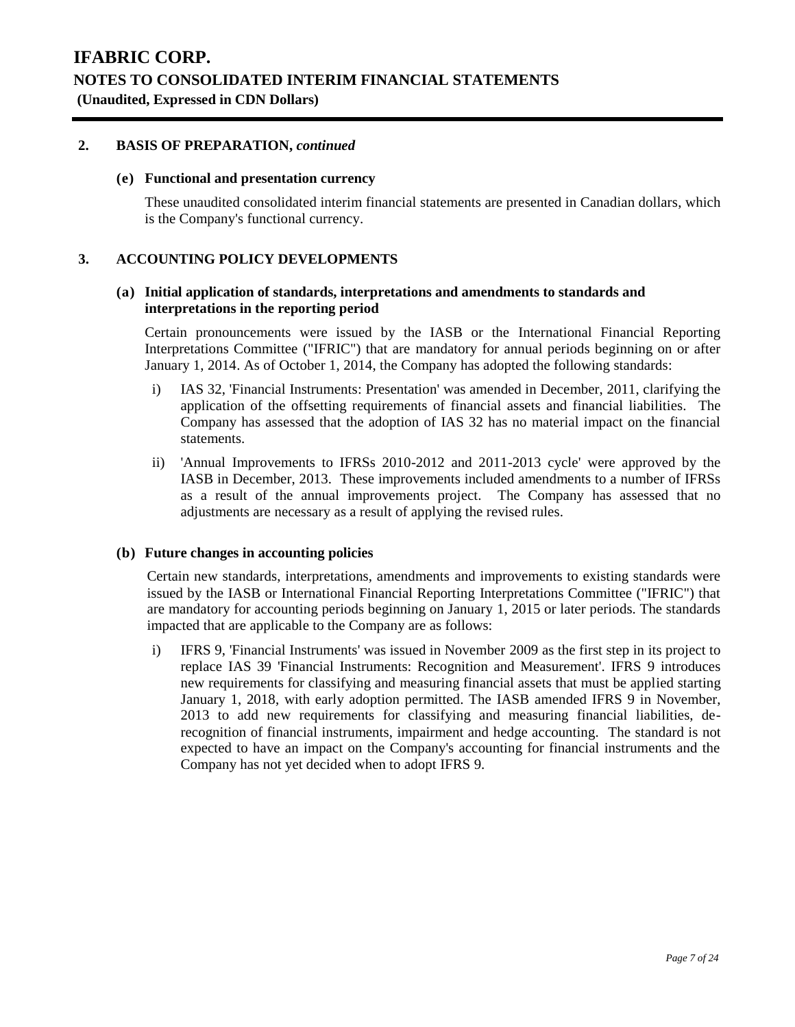## **2. BASIS OF PREPARATION,** *continued*

### **(e) Functional and presentation currency**

These unaudited consolidated interim financial statements are presented in Canadian dollars, which is the Company's functional currency.

### **3. ACCOUNTING POLICY DEVELOPMENTS**

### **(a) Initial application of standards, interpretations and amendments to standards and interpretations in the reporting period**

Certain pronouncements were issued by the IASB or the International Financial Reporting Interpretations Committee ("IFRIC") that are mandatory for annual periods beginning on or after January 1, 2014. As of October 1, 2014, the Company has adopted the following standards:

- i) IAS 32, 'Financial Instruments: Presentation' was amended in December, 2011, clarifying the application of the offsetting requirements of financial assets and financial liabilities. The Company has assessed that the adoption of IAS 32 has no material impact on the financial statements.
- ii) 'Annual Improvements to IFRSs 2010-2012 and 2011-2013 cycle' were approved by the IASB in December, 2013. These improvements included amendments to a number of IFRSs as a result of the annual improvements project. The Company has assessed that no adjustments are necessary as a result of applying the revised rules.

### **(b) Future changes in accounting policies**

Certain new standards, interpretations, amendments and improvements to existing standards were issued by the IASB or International Financial Reporting Interpretations Committee ("IFRIC") that are mandatory for accounting periods beginning on January 1, 2015 or later periods. The standards impacted that are applicable to the Company are as follows:

i) IFRS 9, 'Financial Instruments' was issued in November 2009 as the first step in its project to replace IAS 39 'Financial Instruments: Recognition and Measurement'. IFRS 9 introduces new requirements for classifying and measuring financial assets that must be applied starting January 1, 2018, with early adoption permitted. The IASB amended IFRS 9 in November, 2013 to add new requirements for classifying and measuring financial liabilities, derecognition of financial instruments, impairment and hedge accounting. The standard is not expected to have an impact on the Company's accounting for financial instruments and the Company has not yet decided when to adopt IFRS 9.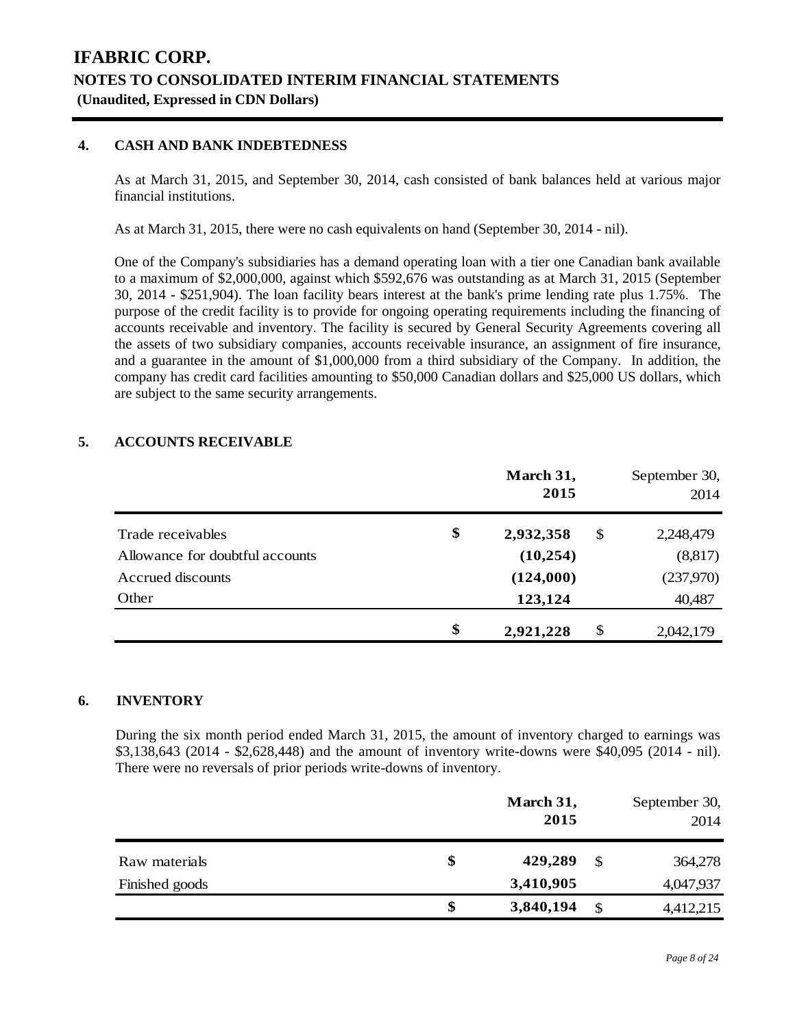### **4. CASH AND BANK INDEBTEDNESS**

As at March 31, 2015, and September 30, 2014, cash consisted of bank balances held at various major financial institutions.

As at March 31, 2015, there were no cash equivalents on hand (September 30, 2014 - nil).

One of the Company's subsidiaries has a demand operating loan with a tier one Canadian bank available to a maximum of \$2,000,000, against which \$592,676 was outstanding as at March 31, 2015 (September 30, 2014 - \$251,904). The loan facility bears interest at the bank's prime lending rate plus 1.75%. The purpose of the credit facility is to provide for ongoing operating requirements including the financing of accounts receivable and inventory. The facility is secured by General Security Agreements covering all the assets of two subsidiary companies, accounts receivable insurance, an assignment of fire insurance, and a guarantee in the amount of \$1,000,000 from a third subsidiary of the Company. In addition, the company has credit card facilities amounting to \$50,000 Canadian dollars and \$25,000 US dollars, which are subject to the same security arrangements.

## **5. ACCOUNTS RECEIVABLE**

|                                 | March 31,<br>2015 | September 30,<br>2014 |
|---------------------------------|-------------------|-----------------------|
| Trade receivables               | \$<br>2,932,358   | \$<br>2,248,479       |
| Allowance for doubtful accounts | (10, 254)         | (8,817)               |
| Accrued discounts               | (124,000)         | (237,970)             |
| Other                           | 123,124           | 40,487                |
|                                 | \$<br>2,921,228   | \$<br>2,042,179       |

## **6. INVENTORY**

During the six month period ended March 31, 2015, the amount of inventory charged to earnings was \$3,138,643 (2014 - \$2,628,448) and the amount of inventory write-downs were \$40,095 (2014 - nil). There were no reversals of prior periods write-downs of inventory.

|                | March 31,<br>2015 |               | September 30,<br>2014 |
|----------------|-------------------|---------------|-----------------------|
| Raw materials  | \$<br>429,289     | <sup>\$</sup> | 364,278               |
| Finished goods | 3,410,905         |               | 4,047,937             |
|                | \$<br>3,840,194   | <sup>\$</sup> | 4,412,215             |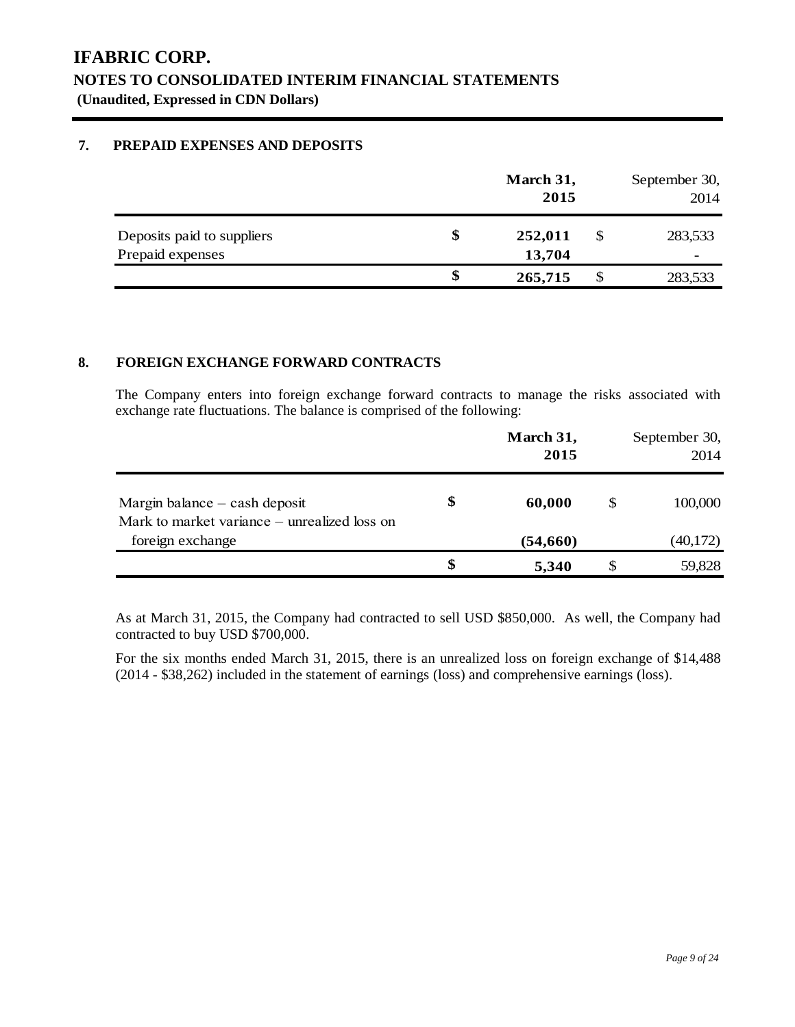# **7. PREPAID EXPENSES AND DEPOSITS**

|                                                |    | March 31,<br>2015 | September 30,<br>2014               |
|------------------------------------------------|----|-------------------|-------------------------------------|
| Deposits paid to suppliers<br>Prepaid expenses | \$ | 252,011<br>13,704 | 283,533<br>$\overline{\phantom{a}}$ |
|                                                | S  | 265,715           | 283,533                             |

## **8. FOREIGN EXCHANGE FORWARD CONTRACTS**

The Company enters into foreign exchange forward contracts to manage the risks associated with exchange rate fluctuations. The balance is comprised of the following:

|                                                                                 | March 31,<br>2015 |    | September 30,<br>2014 |
|---------------------------------------------------------------------------------|-------------------|----|-----------------------|
| Margin balance $-$ cash deposit<br>Mark to market variance – unrealized loss on | \$<br>60,000      | S  | 100,000               |
| foreign exchange                                                                | (54, 660)         |    | (40,172)              |
|                                                                                 | \$<br>5,340       | \$ | 59,828                |

As at March 31, 2015, the Company had contracted to sell USD \$850,000. As well, the Company had contracted to buy USD \$700,000.

For the six months ended March 31, 2015, there is an unrealized loss on foreign exchange of \$14,488 (2014 - \$38,262) included in the statement of earnings (loss) and comprehensive earnings (loss).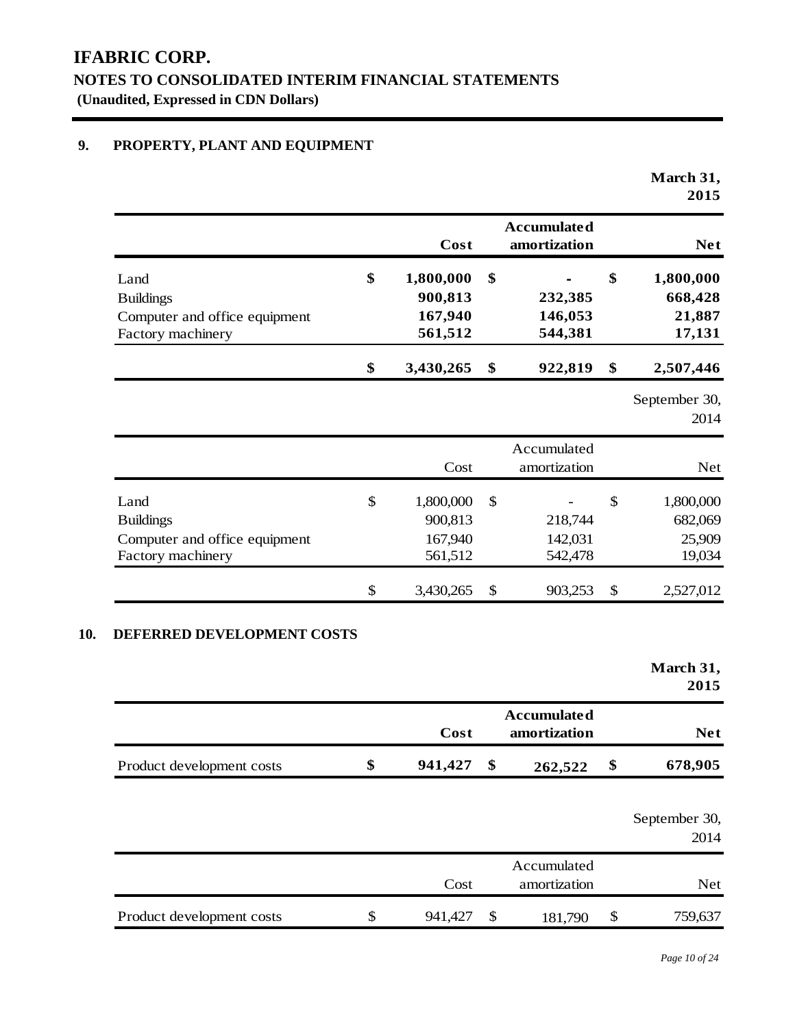# **9. PROPERTY, PLANT AND EQUIPMENT**

|                                                                                |                                                  |                           |                                    | March 31,<br>2015                              |
|--------------------------------------------------------------------------------|--------------------------------------------------|---------------------------|------------------------------------|------------------------------------------------|
|                                                                                | Cost                                             |                           | <b>Accumulated</b><br>amortization | <b>Net</b>                                     |
| Land<br><b>Buildings</b><br>Computer and office equipment<br>Factory machinery | \$<br>1,800,000<br>900,813<br>167,940<br>561,512 | \$                        | 232,385<br>146,053<br>544,381      | \$<br>1,800,000<br>668,428<br>21,887<br>17,131 |
|                                                                                | \$<br>3,430,265                                  | \$                        | 922,819                            | \$<br>2,507,446                                |
|                                                                                |                                                  |                           |                                    | September 30,<br>2014                          |
|                                                                                | Cost                                             |                           | Accumulated<br>amortization        | Net                                            |
| Land<br><b>Buildings</b><br>Computer and office equipment<br>Factory machinery | \$<br>1,800,000<br>900,813<br>167,940<br>561,512 | $\boldsymbol{\mathsf{S}}$ | 218,744<br>142,031<br>542,478      | \$<br>1,800,000<br>682,069<br>25,909<br>19,034 |
|                                                                                | \$<br>3,430,265                                  | \$                        | 903,253                            | \$<br>2,527,012                                |
| DEFERRED DEVELOPMENT COSTS                                                     |                                                  |                           |                                    | March 31,<br>2015                              |
|                                                                                | Cost                                             |                           | <b>Accumulated</b><br>amortization | <b>Net</b>                                     |
| Product development costs                                                      | \$<br>941,427                                    | \$                        | 262,522                            | \$<br>678,905                                  |
|                                                                                |                                                  |                           |                                    | September 30,<br>2014                          |
|                                                                                | Cost                                             |                           | Accumulated<br>amortization        | Net                                            |
| Product development costs                                                      | \$<br>941,427                                    | $\$$                      | 181,790                            | \$<br>759,637                                  |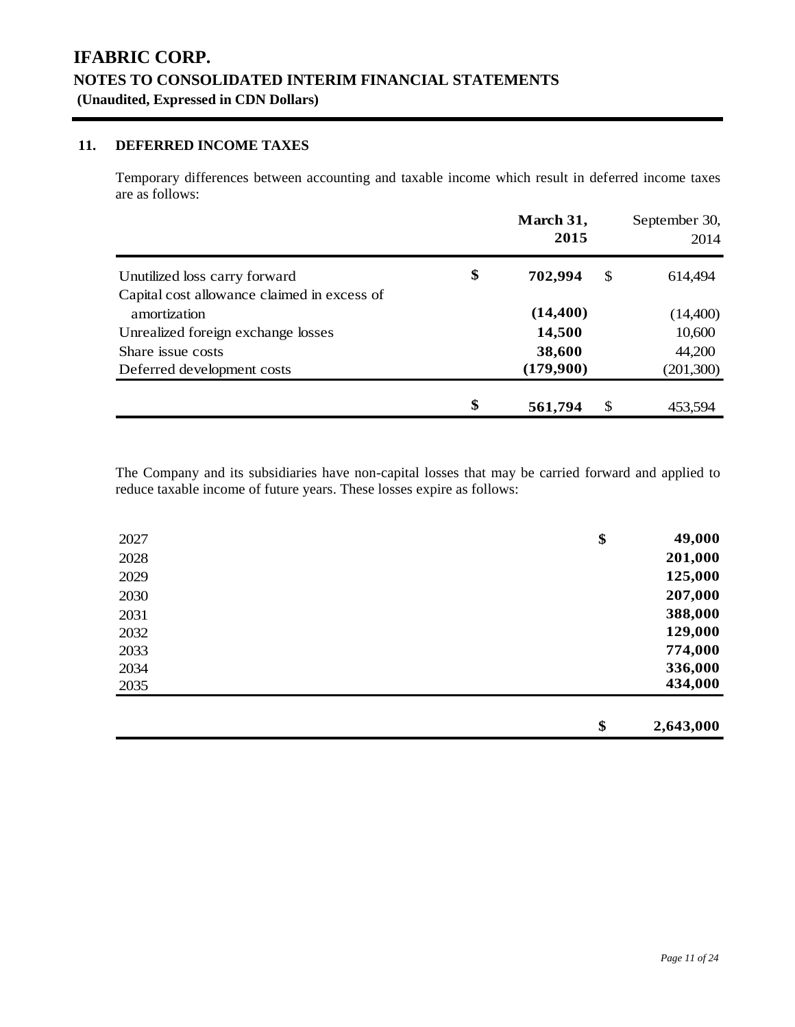# **11. DEFERRED INCOME TAXES**

Temporary differences between accounting and taxable income which result in deferred income taxes are as follows:

|                                             | March 31,<br>2015 | September 30,<br>2014 |
|---------------------------------------------|-------------------|-----------------------|
| Unutilized loss carry forward               | \$<br>702,994     | \$<br>614,494         |
| Capital cost allowance claimed in excess of |                   |                       |
| amortization                                | (14, 400)         | (14,400)              |
| Unrealized foreign exchange losses          | 14,500            | 10,600                |
| Share issue costs                           | 38,600            | 44,200                |
| Deferred development costs                  | (179,900)         | (201, 300)            |
|                                             | \$<br>561,794     | \$<br>453,594         |

The Company and its subsidiaries have non-capital losses that may be carried forward and applied to reduce taxable income of future years. These losses expire as follows:

| 2027 | \$<br>49,000    |
|------|-----------------|
| 2028 | 201,000         |
| 2029 | 125,000         |
| 2030 | 207,000         |
| 2031 | 388,000         |
| 2032 | 129,000         |
| 2033 | 774,000         |
| 2034 | 336,000         |
| 2035 | 434,000         |
|      |                 |
|      | \$<br>2,643,000 |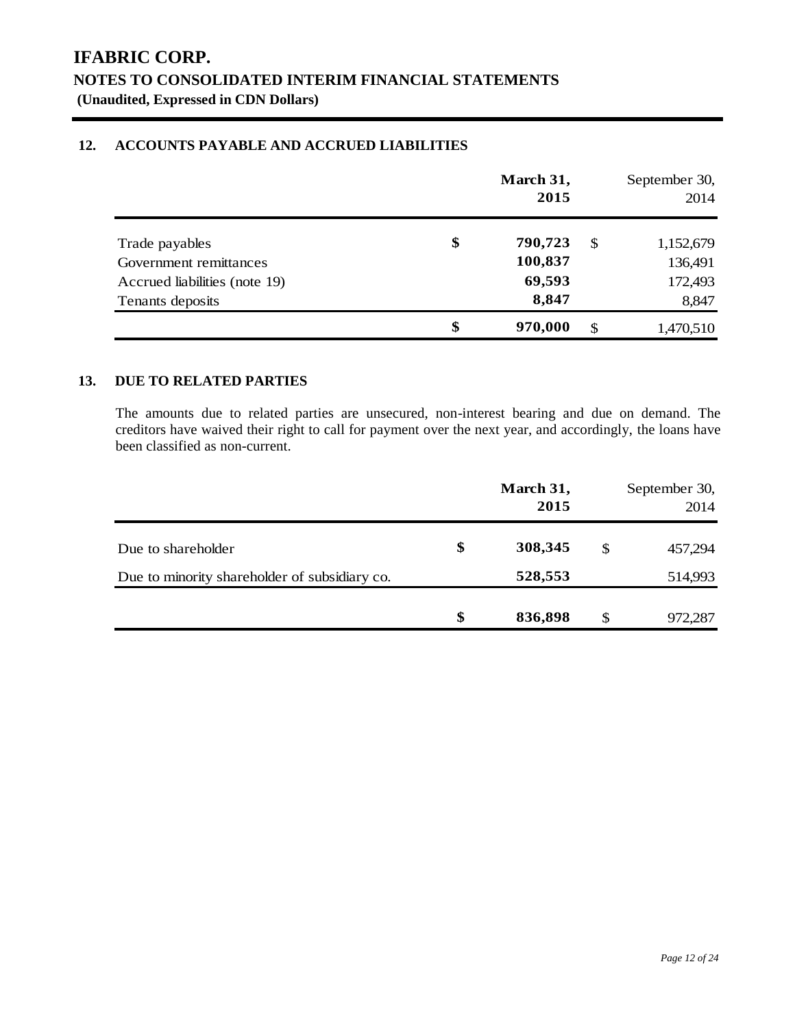# **12. ACCOUNTS PAYABLE AND ACCRUED LIABILITIES**

|                               | March 31,<br>2015 |    | September 30,<br>2014 |
|-------------------------------|-------------------|----|-----------------------|
|                               |                   |    |                       |
| Trade payables                | \$<br>790,723     | -S | 1,152,679             |
| Government remittances        | 100,837           |    | 136,491               |
| Accrued liabilities (note 19) | 69,593            |    | 172,493               |
| Tenants deposits              | 8,847             |    | 8,847                 |
|                               | \$<br>970,000     | .S | 1,470,510             |

# **13. DUE TO RELATED PARTIES**

The amounts due to related parties are unsecured, non-interest bearing and due on demand. The creditors have waived their right to call for payment over the next year, and accordingly, the loans have been classified as non-current.

|                                               | March 31,<br>2015 |     | September 30,<br>2014 |
|-----------------------------------------------|-------------------|-----|-----------------------|
| Due to shareholder                            | \$<br>308,345     | \$  | 457,294               |
| Due to minority shareholder of subsidiary co. | 528,553           |     | 514,993               |
|                                               | \$<br>836,898     | \$. | 972,287               |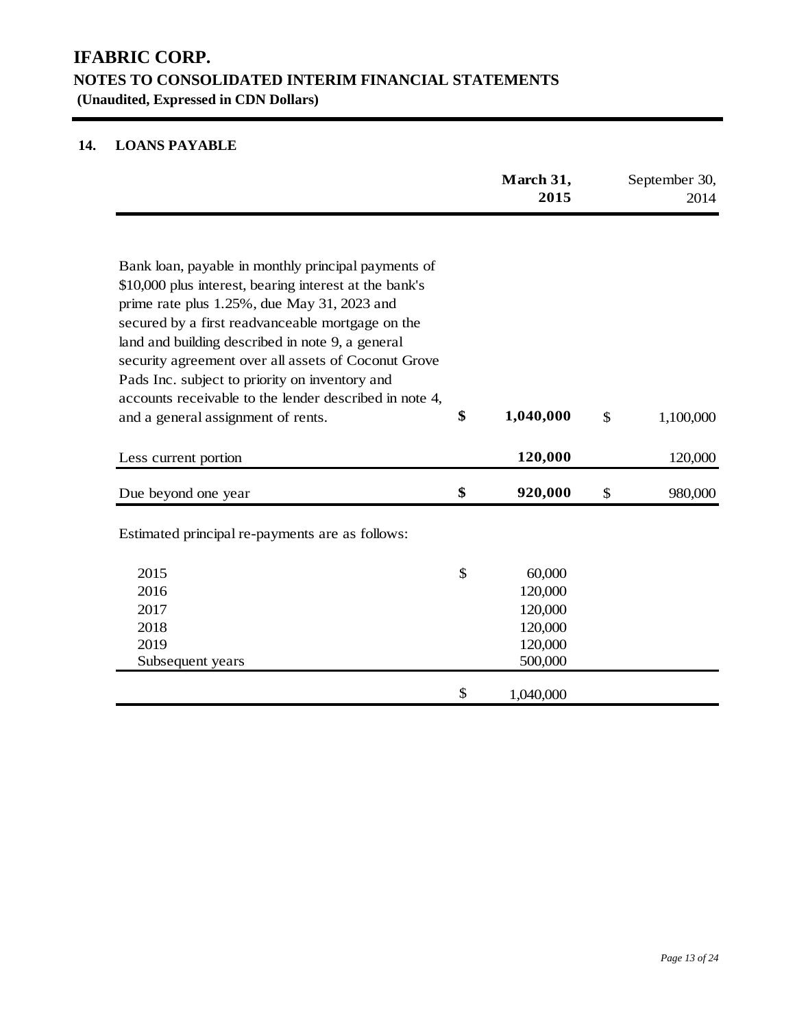# **14. LOANS PAYABLE**

|                                                                                                                                                                                                                                                                      |               | March 31,<br>2015 | September 30,<br>2014 |
|----------------------------------------------------------------------------------------------------------------------------------------------------------------------------------------------------------------------------------------------------------------------|---------------|-------------------|-----------------------|
| Bank loan, payable in monthly principal payments of<br>\$10,000 plus interest, bearing interest at the bank's<br>prime rate plus 1.25%, due May 31, 2023 and<br>secured by a first readvanceable mortgage on the<br>land and building described in note 9, a general |               |                   |                       |
| security agreement over all assets of Coconut Grove                                                                                                                                                                                                                  |               |                   |                       |
| Pads Inc. subject to priority on inventory and<br>accounts receivable to the lender described in note 4,                                                                                                                                                             |               |                   |                       |
| and a general assignment of rents.                                                                                                                                                                                                                                   | \$            | 1,040,000         | \$<br>1,100,000       |
| Less current portion                                                                                                                                                                                                                                                 |               | 120,000           | 120,000               |
| Due beyond one year                                                                                                                                                                                                                                                  | \$            | 920,000           | \$<br>980,000         |
| Estimated principal re-payments are as follows:                                                                                                                                                                                                                      |               |                   |                       |
| 2015                                                                                                                                                                                                                                                                 | $\mathcal{S}$ | 60,000            |                       |
| 2016                                                                                                                                                                                                                                                                 |               | 120,000           |                       |
| 2017                                                                                                                                                                                                                                                                 |               | 120,000           |                       |
| 2018                                                                                                                                                                                                                                                                 |               | 120,000           |                       |
| 2019                                                                                                                                                                                                                                                                 |               | 120,000           |                       |
| Subsequent years                                                                                                                                                                                                                                                     |               | 500,000           |                       |
|                                                                                                                                                                                                                                                                      | \$            | 1,040,000         |                       |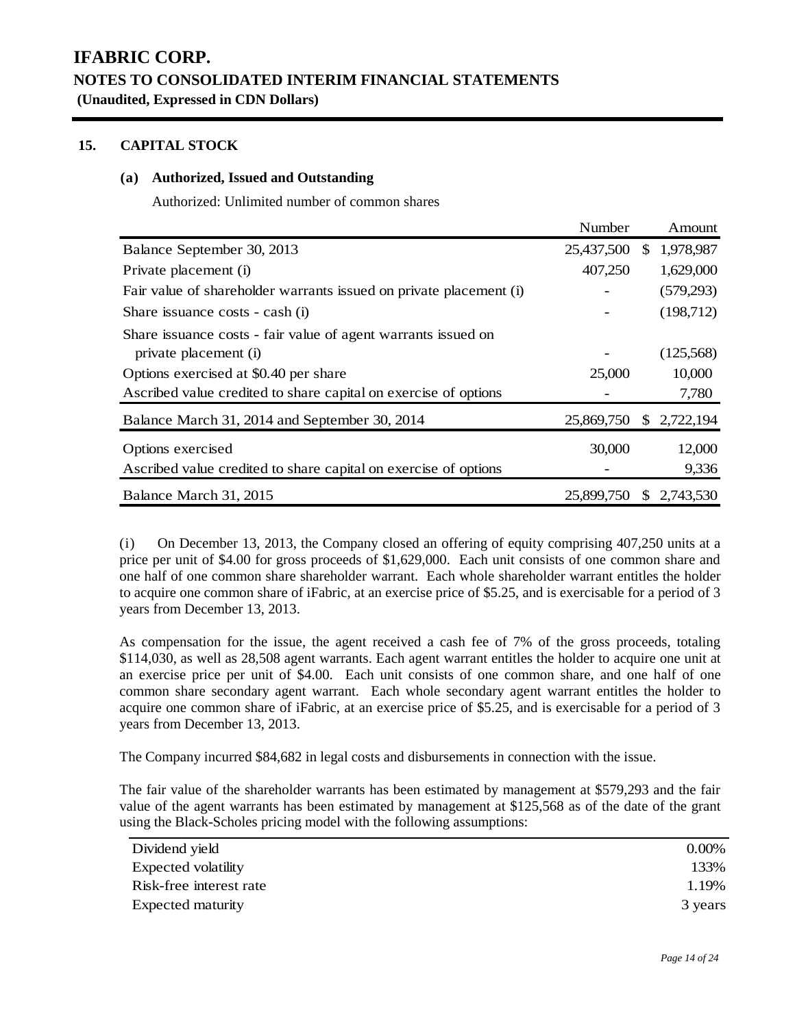# **15. CAPITAL STOCK**

### **(a) Authorized, Issued and Outstanding**

Authorized: Unlimited number of common shares

|                                                                    | Number     |     | Amount     |
|--------------------------------------------------------------------|------------|-----|------------|
| Balance September 30, 2013                                         | 25,437,500 | SS. | 1,978,987  |
| Private placement (i)                                              | 407,250    |     | 1,629,000  |
| Fair value of shareholder warrants issued on private placement (i) |            |     | (579, 293) |
| Share issuance costs - cash (i)                                    |            |     | (198,712)  |
| Share issuance costs - fair value of agent warrants issued on      |            |     |            |
| private placement (i)                                              |            |     | (125,568)  |
| Options exercised at \$0.40 per share                              | 25,000     |     | 10,000     |
| Ascribed value credited to share capital on exercise of options    |            |     | 7,780      |
| Balance March 31, 2014 and September 30, 2014                      | 25,869,750 | S.  | 2,722,194  |
| Options exercised                                                  | 30,000     |     | 12,000     |
| Ascribed value credited to share capital on exercise of options    |            |     | 9,336      |
| Balance March 31, 2015                                             | 25,899,750 | \$. | 2,743,530  |

(i) On December 13, 2013, the Company closed an offering of equity comprising 407,250 units at a price per unit of \$4.00 for gross proceeds of \$1,629,000. Each unit consists of one common share and one half of one common share shareholder warrant. Each whole shareholder warrant entitles the holder to acquire one common share of iFabric, at an exercise price of \$5.25, and is exercisable for a period of 3 years from December 13, 2013.

As compensation for the issue, the agent received a cash fee of 7% of the gross proceeds, totaling \$114,030, as well as 28,508 agent warrants. Each agent warrant entitles the holder to acquire one unit at an exercise price per unit of \$4.00. Each unit consists of one common share, and one half of one common share secondary agent warrant. Each whole secondary agent warrant entitles the holder to acquire one common share of iFabric, at an exercise price of \$5.25, and is exercisable for a period of 3 years from December 13, 2013.

The Company incurred \$84,682 in legal costs and disbursements in connection with the issue.

The fair value of the shareholder warrants has been estimated by management at \$579,293 and the fair value of the agent warrants has been estimated by management at \$125,568 as of the date of the grant using the Black-Scholes pricing model with the following assumptions:

| Dividend yield          | $0.00\%$ |
|-------------------------|----------|
| Expected volatility     | 133%     |
| Risk-free interest rate | 1.19%    |
| Expected maturity       | 3 years  |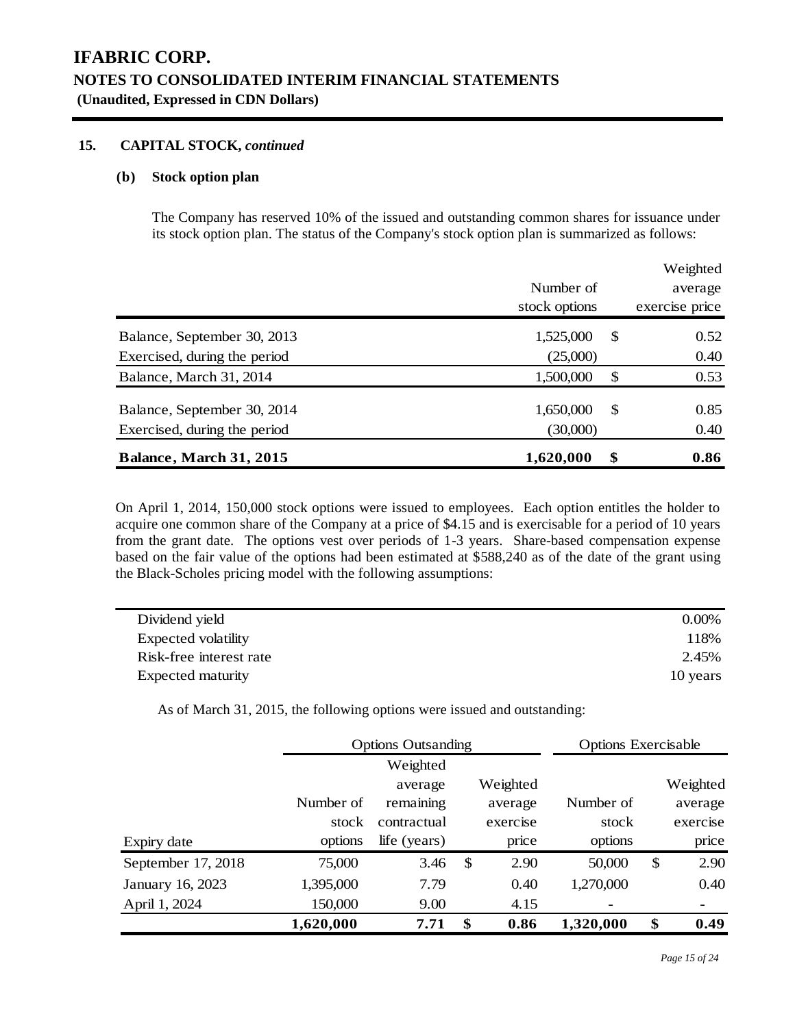### **15. CAPITAL STOCK,** *continued*

#### **(b) Stock option plan**

The Company has reserved 10% of the issued and outstanding common shares for issuance under its stock option plan. The status of the Company's stock option plan is summarized as follows:

|                                |               |               | Weighted       |
|--------------------------------|---------------|---------------|----------------|
|                                | Number of     |               | average        |
|                                | stock options |               | exercise price |
| Balance, September 30, 2013    | 1,525,000     | \$            | 0.52           |
| Exercised, during the period   | (25,000)      |               | 0.40           |
| Balance, March 31, 2014        | 1,500,000     | \$            | 0.53           |
| Balance, September 30, 2014    | 1,650,000     | <sup>\$</sup> | 0.85           |
| Exercised, during the period   | (30,000)      |               | 0.40           |
| <b>Balance, March 31, 2015</b> | 1,620,000     | \$            | 0.86           |

On April 1, 2014, 150,000 stock options were issued to employees. Each option entitles the holder to acquire one common share of the Company at a price of \$4.15 and is exercisable for a period of 10 years from the grant date. The options vest over periods of 1-3 years. Share-based compensation expense based on the fair value of the options had been estimated at \$588,240 as of the date of the grant using the Black-Scholes pricing model with the following assumptions:

| $0.00\%$ |
|----------|
| 118%     |
| 2.45%    |
| 10 years |
|          |

As of March 31, 2015, the following options were issued and outstanding:

|                    |           | <b>Options Outsanding</b> |    | <b>Options Exercisable</b> |           |            |
|--------------------|-----------|---------------------------|----|----------------------------|-----------|------------|
|                    |           | Weighted                  |    |                            |           |            |
|                    |           | average                   |    | Weighted                   |           | Weighted   |
|                    | Number of | remaining                 |    | average                    | Number of | average    |
|                    | stock     | contractual               |    | exercise                   | stock     | exercise   |
| Expiry date        | options   | life (years)              |    | price                      | options   | price      |
| September 17, 2018 | 75,000    | 3.46                      | \$ | 2.90                       | 50,000    | \$<br>2.90 |
| January 16, 2023   | 1,395,000 | 7.79                      |    | 0.40                       | 1,270,000 | 0.40       |
| April 1, 2024      | 150,000   | 9.00                      |    | 4.15                       |           |            |
|                    | 1,620,000 | 7.71                      | \$ | 0.86                       | 1,320,000 | \$<br>0.49 |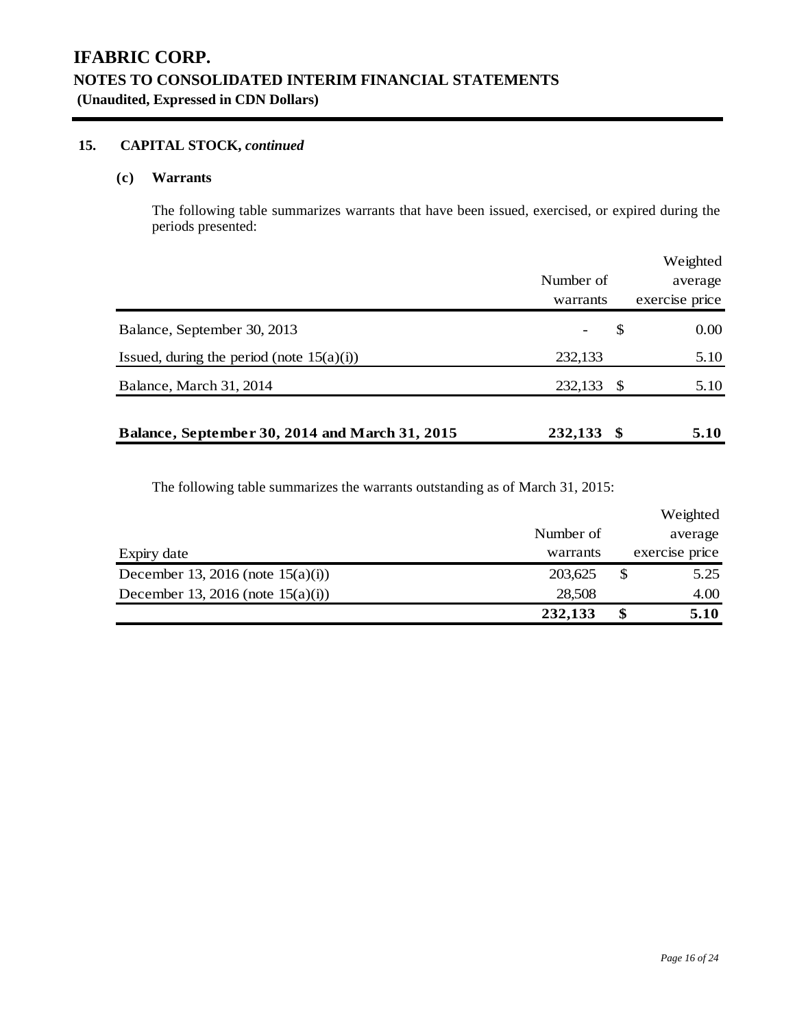# **15. CAPITAL STOCK,** *continued*

# **(c) Warrants**

The following table summarizes warrants that have been issued, exercised, or expired during the periods presented:

|                                                       |           |     | Weighted       |
|-------------------------------------------------------|-----------|-----|----------------|
|                                                       | Number of |     | average        |
|                                                       | warrants  |     | exercise price |
| Balance, September 30, 2013                           |           | S   | 0.00           |
| Issued, during the period (note $15(a)(i)$ )          | 232,133   |     | 5.10           |
| Balance, March 31, 2014                               | 232,133   | - S | 5.10           |
| <b>Balance, September 30, 2014 and March 31, 2015</b> | 232,133   | -SS | 5.10           |

The following table summarizes the warrants outstanding as of March 31, 2015:

|                                      |           |   | Weighted       |
|--------------------------------------|-----------|---|----------------|
|                                      | Number of |   | average        |
| Expiry date                          | warrants  |   | exercise price |
| December 13, 2016 (note $15(a)(i)$ ) | 203,625   |   | 5.25           |
| December 13, 2016 (note $15(a)(i)$ ) | 28,508    |   | 4.00           |
|                                      | 232,133   | S | 5.10           |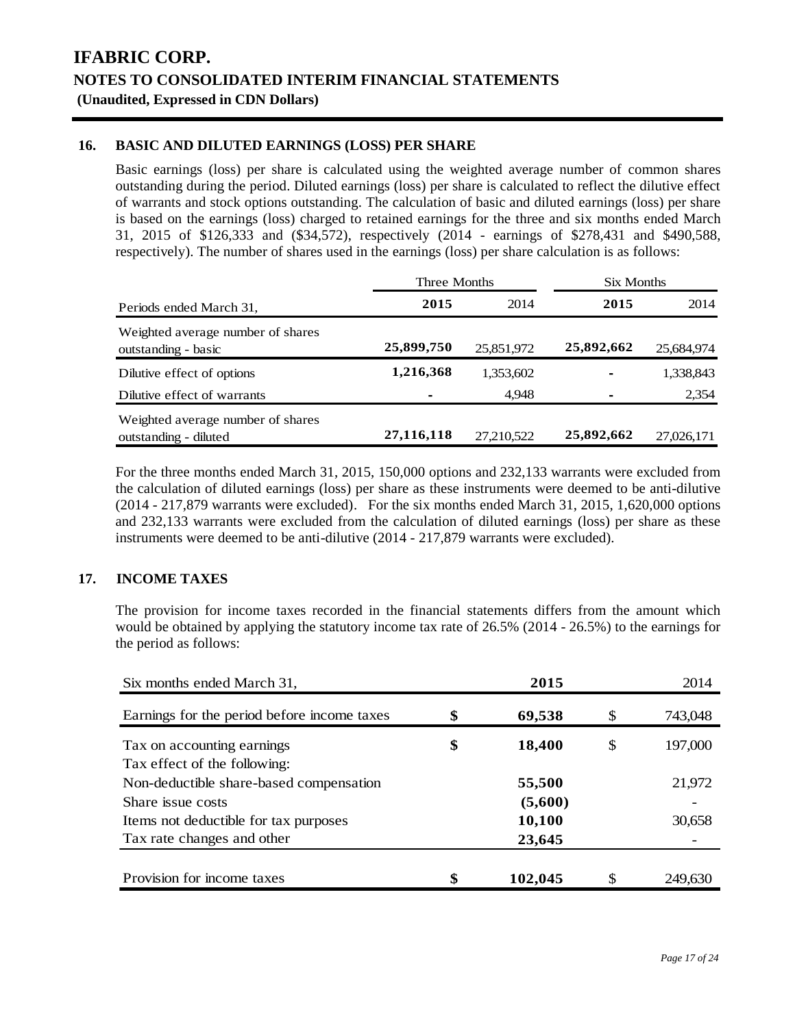# **16. BASIC AND DILUTED EARNINGS (LOSS) PER SHARE**

Basic earnings (loss) per share is calculated using the weighted average number of common shares outstanding during the period. Diluted earnings (loss) per share is calculated to reflect the dilutive effect of warrants and stock options outstanding. The calculation of basic and diluted earnings (loss) per share is based on the earnings (loss) charged to retained earnings for the three and six months ended March 31, 2015 of \$126,333 and (\$34,572), respectively (2014 - earnings of \$278,431 and \$490,588, respectively). The number of shares used in the earnings (loss) per share calculation is as follows:

|                                                            | Three Months   |            | Six Months |            |  |
|------------------------------------------------------------|----------------|------------|------------|------------|--|
| Periods ended March 31,                                    | 2015           | 2014       | 2015       | 2014       |  |
| Weighted average number of shares<br>outstanding - basic   | 25,899,750     | 25,851,972 | 25,892,662 | 25,684,974 |  |
| Dilutive effect of options                                 | 1,216,368      | 1,353,602  |            | 1,338,843  |  |
| Dilutive effect of warrants                                | $\blacksquare$ | 4,948      |            | 2,354      |  |
| Weighted average number of shares<br>outstanding - diluted | 27,116,118     | 27,210,522 | 25,892,662 | 27,026,171 |  |

For the three months ended March 31, 2015, 150,000 options and 232,133 warrants were excluded from the calculation of diluted earnings (loss) per share as these instruments were deemed to be anti-dilutive (2014 - 217,879 warrants were excluded). For the six months ended March 31, 2015, 1,620,000 options and 232,133 warrants were excluded from the calculation of diluted earnings (loss) per share as these instruments were deemed to be anti-dilutive (2014 - 217,879 warrants were excluded).

# **17. INCOME TAXES**

The provision for income taxes recorded in the financial statements differs from the amount which would be obtained by applying the statutory income tax rate of 26.5% (2014 - 26.5%) to the earnings for the period as follows:

| Six months ended March 31,                  | 2015          | 2014          |
|---------------------------------------------|---------------|---------------|
| Earnings for the period before income taxes | \$<br>69,538  | \$<br>743,048 |
| Tax on accounting earnings                  | \$<br>18,400  | \$<br>197,000 |
| Tax effect of the following:                |               |               |
| Non-deductible share-based compensation     | 55,500        | 21,972        |
| Share issue costs                           | (5,600)       |               |
| Items not deductible for tax purposes       | 10,100        | 30,658        |
| Tax rate changes and other                  | 23,645        |               |
|                                             |               |               |
| Provision for income taxes                  | \$<br>102,045 | 249.630       |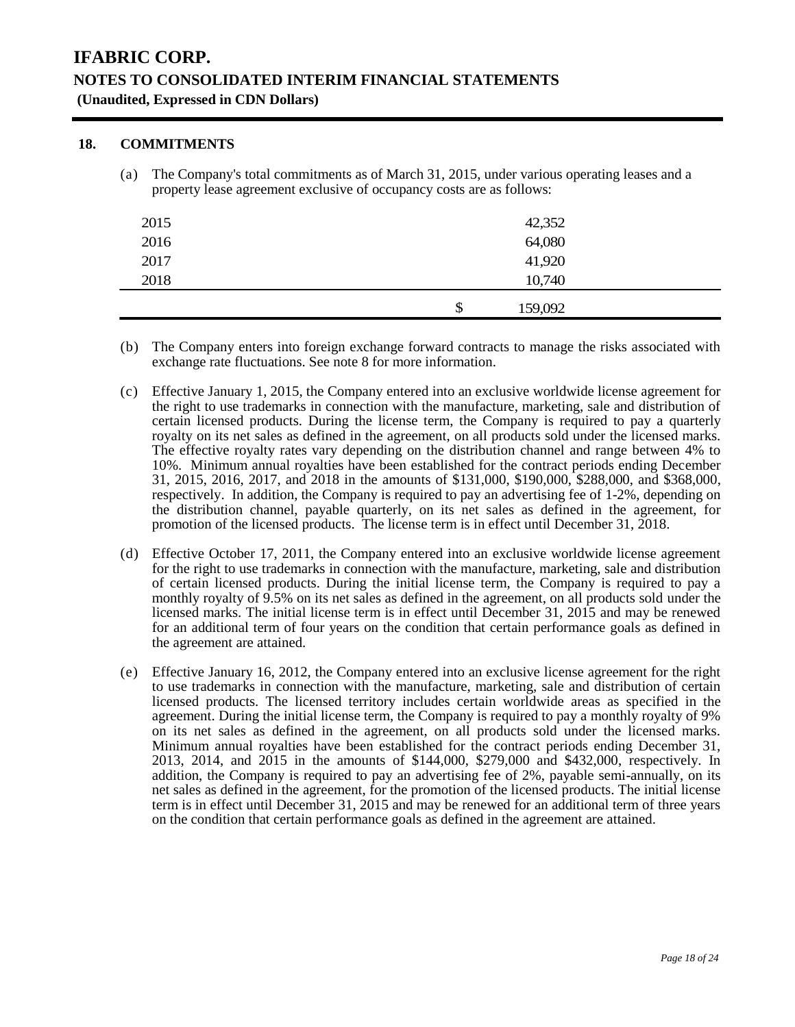## **18. COMMITMENTS**

(a) The Company's total commitments as of March 31, 2015, under various operating leases and a property lease agreement exclusive of occupancy costs are as follows:

| 2015 | 42,352        |  |
|------|---------------|--|
| 2016 | 64,080        |  |
| 2017 | 41,920        |  |
| 2018 | 10,740        |  |
|      | \$<br>159,092 |  |

- (b) The Company enters into foreign exchange forward contracts to manage the risks associated with exchange rate fluctuations. See note 8 for more information.
- (c) Effective January 1, 2015, the Company entered into an exclusive worldwide license agreement for the right to use trademarks in connection with the manufacture, marketing, sale and distribution of certain licensed products. During the license term, the Company is required to pay a quarterly royalty on its net sales as defined in the agreement, on all products sold under the licensed marks. The effective royalty rates vary depending on the distribution channel and range between 4% to 10%. Minimum annual royalties have been established for the contract periods ending December 31, 2015, 2016, 2017, and 2018 in the amounts of \$131,000, \$190,000, \$288,000, and \$368,000, respectively. In addition, the Company is required to pay an advertising fee of 1-2%, depending on the distribution channel, payable quarterly, on its net sales as defined in the agreement, for promotion of the licensed products. The license term is in effect until December 31, 2018.
- (d) Effective October 17, 2011, the Company entered into an exclusive worldwide license agreement for the right to use trademarks in connection with the manufacture, marketing, sale and distribution of certain licensed products. During the initial license term, the Company is required to pay a monthly royalty of 9.5% on its net sales as defined in the agreement, on all products sold under the licensed marks. The initial license term is in effect until December 31, 2015 and may be renewed for an additional term of four years on the condition that certain performance goals as defined in the agreement are attained.
- (e) Effective January 16, 2012, the Company entered into an exclusive license agreement for the right to use trademarks in connection with the manufacture, marketing, sale and distribution of certain licensed products. The licensed territory includes certain worldwide areas as specified in the agreement. During the initial license term, the Company is required to pay a monthly royalty of 9% on its net sales as defined in the agreement, on all products sold under the licensed marks. Minimum annual royalties have been established for the contract periods ending December 31, 2013, 2014, and 2015 in the amounts of \$144,000, \$279,000 and \$432,000, respectively. In addition, the Company is required to pay an advertising fee of 2%, payable semi-annually, on its net sales as defined in the agreement, for the promotion of the licensed products. The initial license term is in effect until December 31, 2015 and may be renewed for an additional term of three years on the condition that certain performance goals as defined in the agreement are attained.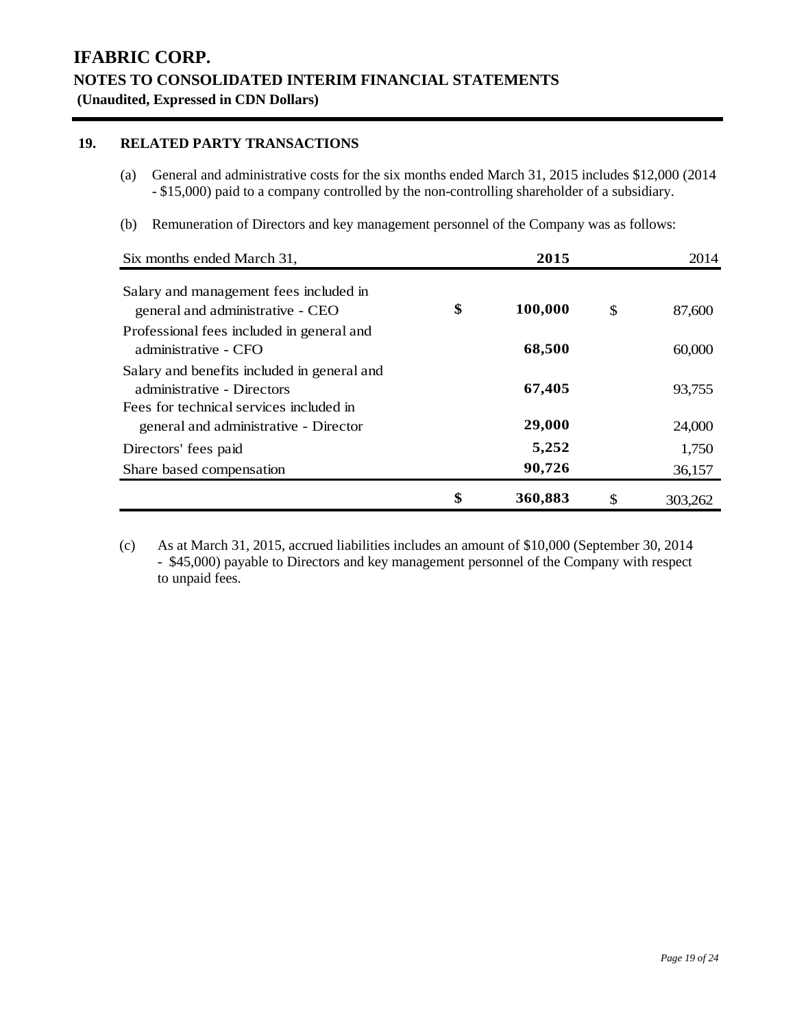# **19. RELATED PARTY TRANSACTIONS**

- (a) General and administrative costs for the six months ended March 31, 2015 includes \$12,000 (2014 - \$15,000) paid to a company controlled by the non-controlling shareholder of a subsidiary.
- (b) Remuneration of Directors and key management personnel of the Company was as follows:

| Six months ended March 31,                                                       | 2015          | 2014          |
|----------------------------------------------------------------------------------|---------------|---------------|
| Salary and management fees included in<br>general and administrative - CEO       | \$<br>100,000 | \$<br>87,600  |
| Professional fees included in general and<br>administrative - CFO                | 68,500        | 60,000        |
| Salary and benefits included in general and<br>administrative - Directors        | 67,405        | 93.755        |
| Fees for technical services included in<br>general and administrative - Director | 29,000        | 24,000        |
| Directors' fees paid                                                             | 5,252         | 1,750         |
| Share based compensation                                                         | 90,726        | 36,157        |
|                                                                                  | \$<br>360,883 | \$<br>303.262 |

(c) As at March 31, 2015, accrued liabilities includes an amount of \$10,000 (September 30, 2014 - \$45,000) payable to Directors and key management personnel of the Company with respect to unpaid fees.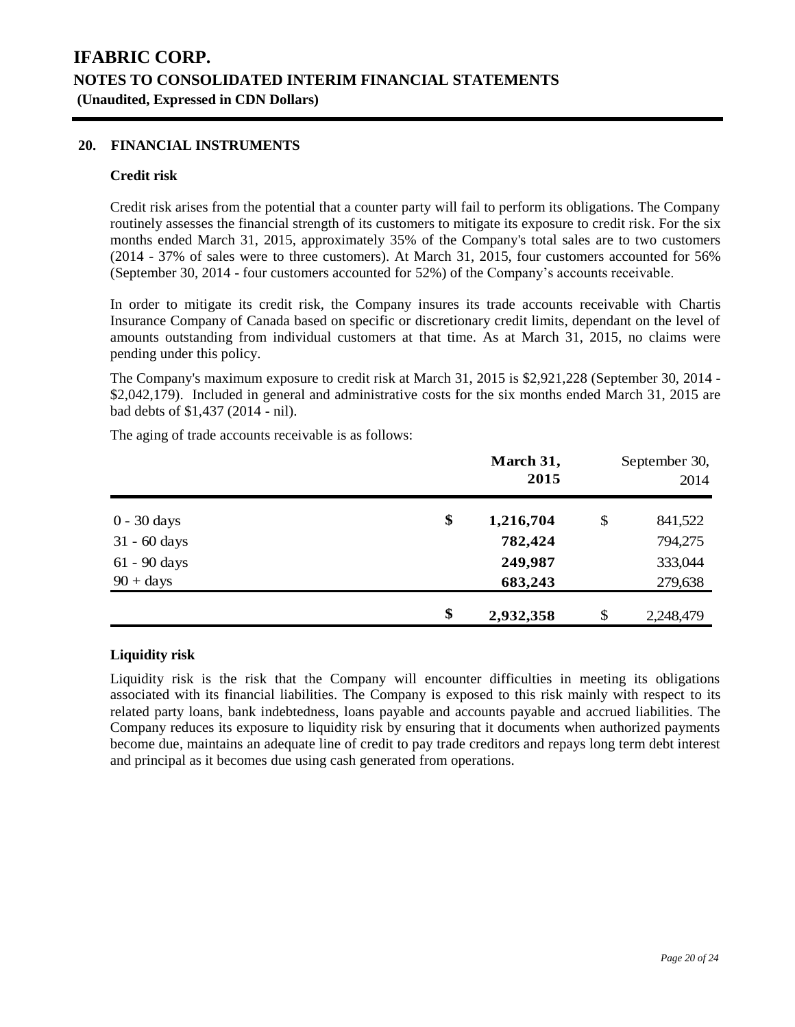### **20. FINANCIAL INSTRUMENTS**

#### **Credit risk**

Credit risk arises from the potential that a counter party will fail to perform its obligations. The Company routinely assesses the financial strength of its customers to mitigate its exposure to credit risk. For the six months ended March 31, 2015, approximately 35% of the Company's total sales are to two customers (2014 - 37% of sales were to three customers). At March 31, 2015, four customers accounted for 56% (September 30, 2014 - four customers accounted for 52%) of the Company's accounts receivable.

In order to mitigate its credit risk, the Company insures its trade accounts receivable with Chartis Insurance Company of Canada based on specific or discretionary credit limits, dependant on the level of amounts outstanding from individual customers at that time. As at March 31, 2015, no claims were pending under this policy.

The Company's maximum exposure to credit risk at March 31, 2015 is \$2,921,228 (September 30, 2014 - \$2,042,179). Included in general and administrative costs for the six months ended March 31, 2015 are bad debts of \$1,437 (2014 - nil).

The aging of trade accounts receivable is as follows:

|               | March 31,<br>2015 | September 30,<br>2014 |
|---------------|-------------------|-----------------------|
| $0 - 30$ days | \$<br>1,216,704   | \$<br>841,522         |
| 31 - 60 days  | 782,424           | 794,275               |
| 61 - 90 days  | 249,987           | 333,044               |
| $90 + days$   | 683,243           | 279,638               |
|               | \$<br>2,932,358   | \$<br>2,248,479       |

### **Liquidity risk**

Liquidity risk is the risk that the Company will encounter difficulties in meeting its obligations associated with its financial liabilities. The Company is exposed to this risk mainly with respect to its related party loans, bank indebtedness, loans payable and accounts payable and accrued liabilities. The Company reduces its exposure to liquidity risk by ensuring that it documents when authorized payments become due, maintains an adequate line of credit to pay trade creditors and repays long term debt interest and principal as it becomes due using cash generated from operations.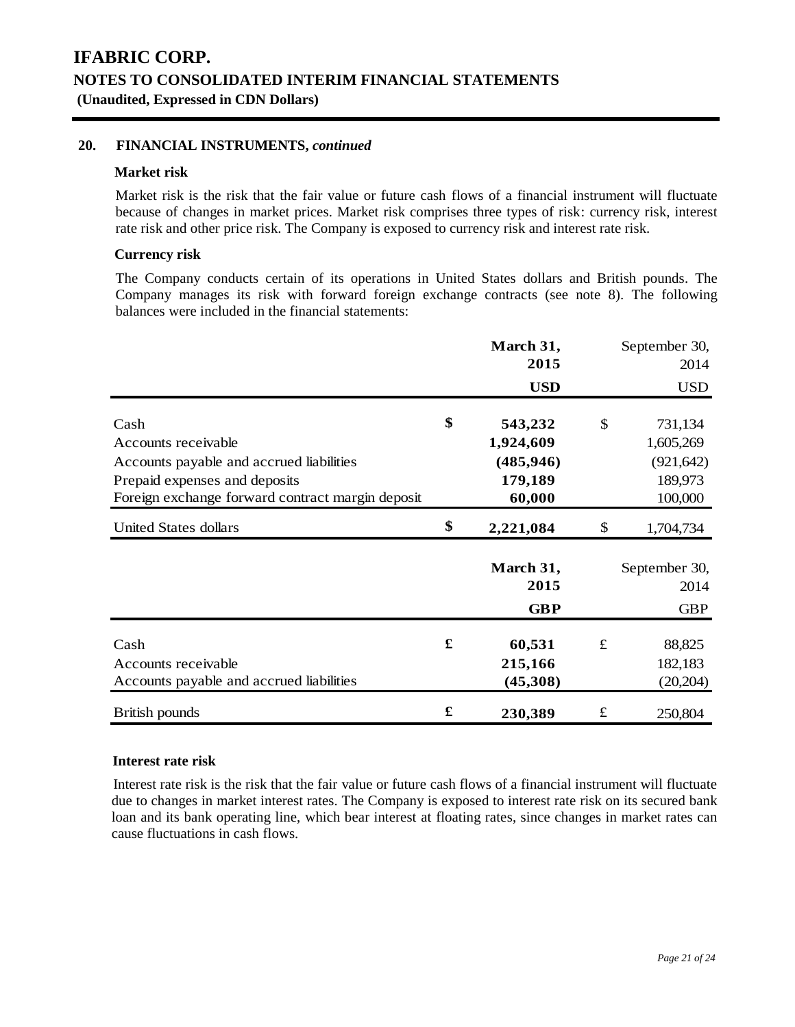### **20. FINANCIAL INSTRUMENTS,** *continued*

### **Market risk**

Market risk is the risk that the fair value or future cash flows of a financial instrument will fluctuate because of changes in market prices. Market risk comprises three types of risk: currency risk, interest rate risk and other price risk. The Company is exposed to currency risk and interest rate risk.

# **Currency risk**

The Company conducts certain of its operations in United States dollars and British pounds. The Company manages its risk with forward foreign exchange contracts (see note 8). The following balances were included in the financial statements:

|                                                  |    | March 31,<br>2015 |           | September 30,<br>2014 |
|--------------------------------------------------|----|-------------------|-----------|-----------------------|
|                                                  |    | <b>USD</b>        |           | <b>USD</b>            |
| Cash                                             | \$ | 543,232           | \$        | 731,134               |
| Accounts receivable                              |    | 1,924,609         |           | 1,605,269             |
| Accounts payable and accrued liabilities         |    | (485, 946)        |           | (921, 642)            |
| Prepaid expenses and deposits                    |    | 179,189           |           | 189,973               |
| Foreign exchange forward contract margin deposit |    | 60,000            |           | 100,000               |
| <b>United States dollars</b>                     | \$ | 2,221,084         | \$        | 1,704,734             |
|                                                  |    | March 31,         |           | September 30,         |
|                                                  |    | 2015              |           | 2014                  |
|                                                  |    | <b>GBP</b>        |           | <b>GBP</b>            |
| Cash                                             | £  | 60,531            | $\pounds$ | 88,825                |
| Accounts receivable                              |    | 215,166           |           | 182,183               |
| Accounts payable and accrued liabilities         |    | (45,308)          |           | (20,204)              |
| <b>British pounds</b>                            | £  | 230,389           | $\pounds$ | 250,804               |

#### **Interest rate risk**

Interest rate risk is the risk that the fair value or future cash flows of a financial instrument will fluctuate due to changes in market interest rates. The Company is exposed to interest rate risk on its secured bank loan and its bank operating line, which bear interest at floating rates, since changes in market rates can cause fluctuations in cash flows.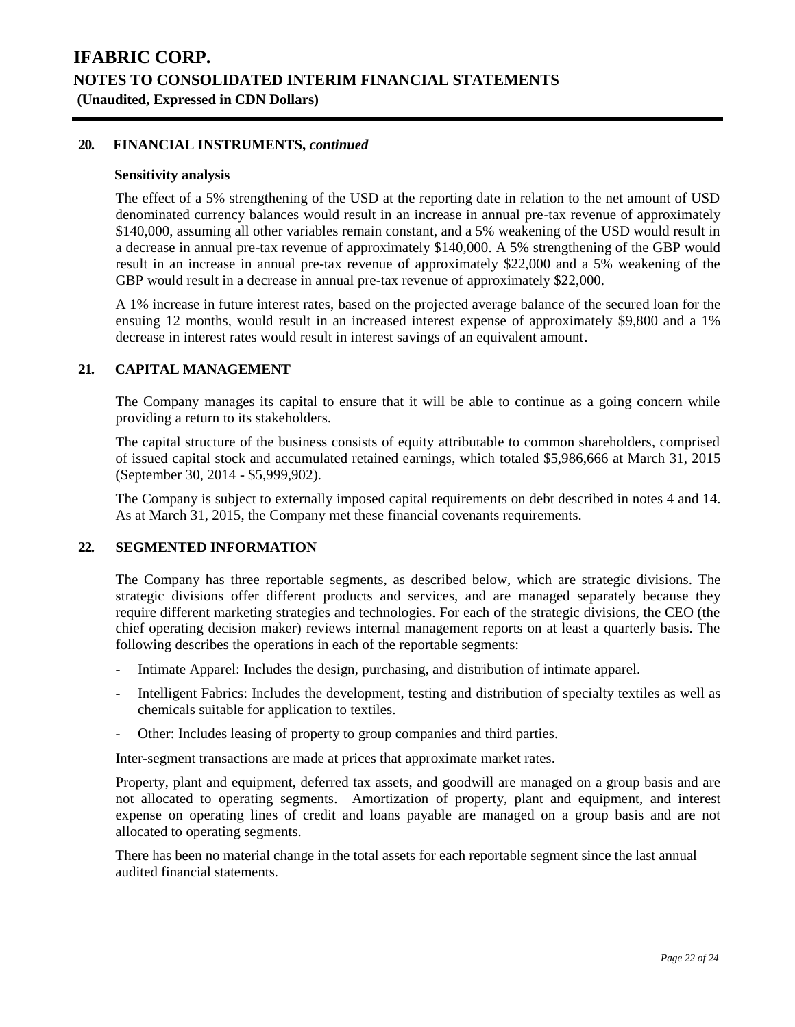### **20. FINANCIAL INSTRUMENTS,** *continued*

#### **Sensitivity analysis**

The effect of a 5% strengthening of the USD at the reporting date in relation to the net amount of USD denominated currency balances would result in an increase in annual pre-tax revenue of approximately \$140,000, assuming all other variables remain constant, and a 5% weakening of the USD would result in a decrease in annual pre-tax revenue of approximately \$140,000. A 5% strengthening of the GBP would result in an increase in annual pre-tax revenue of approximately \$22,000 and a 5% weakening of the GBP would result in a decrease in annual pre-tax revenue of approximately \$22,000.

A 1% increase in future interest rates, based on the projected average balance of the secured loan for the ensuing 12 months, would result in an increased interest expense of approximately \$9,800 and a 1% decrease in interest rates would result in interest savings of an equivalent amount.

### **21. CAPITAL MANAGEMENT**

The Company manages its capital to ensure that it will be able to continue as a going concern while providing a return to its stakeholders.

The capital structure of the business consists of equity attributable to common shareholders, comprised of issued capital stock and accumulated retained earnings, which totaled \$5,986,666 at March 31, 2015 (September 30, 2014 - \$5,999,902).

The Company is subject to externally imposed capital requirements on debt described in notes 4 and 14. As at March 31, 2015, the Company met these financial covenants requirements.

#### **22. SEGMENTED INFORMATION**

The Company has three reportable segments, as described below, which are strategic divisions. The strategic divisions offer different products and services, and are managed separately because they require different marketing strategies and technologies. For each of the strategic divisions, the CEO (the chief operating decision maker) reviews internal management reports on at least a quarterly basis. The following describes the operations in each of the reportable segments:

- Intimate Apparel: Includes the design, purchasing, and distribution of intimate apparel.
- Intelligent Fabrics: Includes the development, testing and distribution of specialty textiles as well as chemicals suitable for application to textiles.
- Other: Includes leasing of property to group companies and third parties.

Inter-segment transactions are made at prices that approximate market rates.

Property, plant and equipment, deferred tax assets, and goodwill are managed on a group basis and are not allocated to operating segments. Amortization of property, plant and equipment, and interest expense on operating lines of credit and loans payable are managed on a group basis and are not allocated to operating segments.

There has been no material change in the total assets for each reportable segment since the last annual audited financial statements.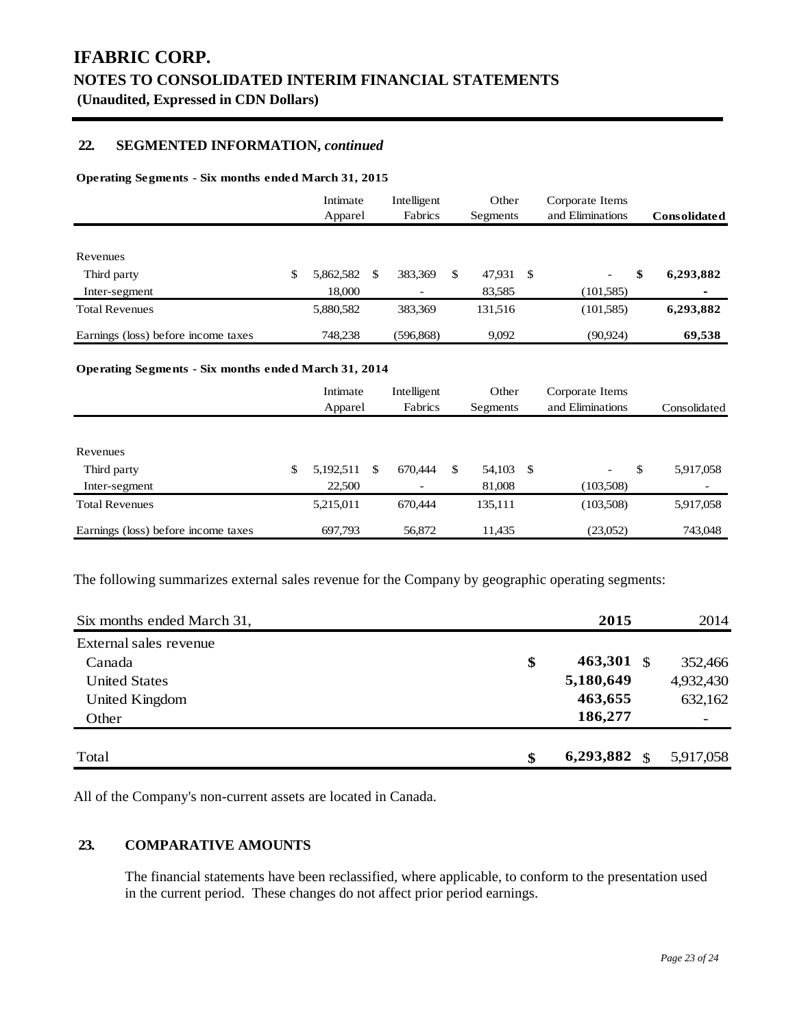# **22. SEGMENTED INFORMATION,** *continued*

#### **Operating Segments - Six months ended March 31, 2015**

|                                     | Intimate<br>Apparel |   | Intelligent<br>Fabrics |     | Other<br>Segments |     | Corporate Items<br>and Eliminations | <b>Consolidated</b> |
|-------------------------------------|---------------------|---|------------------------|-----|-------------------|-----|-------------------------------------|---------------------|
|                                     |                     |   |                        |     |                   |     |                                     |                     |
| Revenues                            |                     |   |                        |     |                   |     |                                     |                     |
| Third party                         | \$<br>5,862,582     | S | 383,369                | \$. | 47,931            | -\$ | -                                   | \$<br>6,293,882     |
| Inter-segment                       | 18,000              |   |                        |     | 83,585            |     | (101, 585)                          | ۰                   |
| <b>Total Revenues</b>               | 5,880,582           |   | 383.369                |     | 131,516           |     | (101, 585)                          | 6,293,882           |
| Earnings (loss) before income taxes | 748.238             |   | (596,868)              |     | 9,092             |     | (90, 924)                           | 69,538              |

#### **Operating Segments - Six months ended March 31, 2014**

|                                     | Intimate<br>Apparel |   | Intelligent<br>Fabrics |   | Other<br>Segments | Corporate Items<br>and Eliminations | Consolidated    |
|-------------------------------------|---------------------|---|------------------------|---|-------------------|-------------------------------------|-----------------|
|                                     |                     |   |                        |   |                   |                                     |                 |
| Revenues                            |                     |   |                        |   |                   |                                     |                 |
| Third party                         | \$<br>5,192,511     | S | 670.444                | S | 54,103 \$         | -                                   | \$<br>5,917,058 |
| Inter-segment                       | 22,500              |   |                        |   | 81,008            | (103,508)                           | -               |
| <b>Total Revenues</b>               | 5,215,011           |   | 670.444                |   | 135,111           | (103,508)                           | 5,917,058       |
| Earnings (loss) before income taxes | 697,793             |   | 56,872                 |   | 11,435            | (23,052)                            | 743,048         |

The following summarizes external sales revenue for the Company by geographic operating segments:

| Six months ended March 31, | 2015                 | 2014                     |
|----------------------------|----------------------|--------------------------|
| External sales revenue     |                      |                          |
| Canada                     | \$<br>463,301 \$     | 352,466                  |
| <b>United States</b>       | 5,180,649            | 4,932,430                |
| United Kingdom             | 463,655              | 632,162                  |
| Other                      | 186,277              | $\overline{\phantom{a}}$ |
| Total                      | \$<br>$6,293,882$ \$ | 5,917,058                |

All of the Company's non-current assets are located in Canada.

# **23. COMPARATIVE AMOUNTS**

The financial statements have been reclassified, where applicable, to conform to the presentation used in the current period. These changes do not affect prior period earnings.